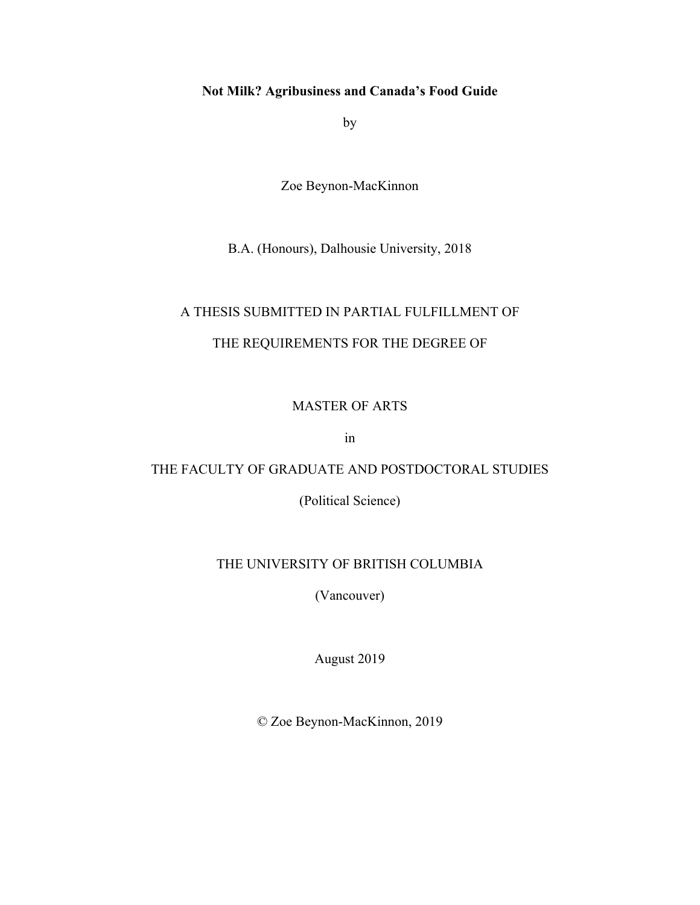# **Not Milk? Agribusiness and Canada's Food Guide**

by

Zoe Beynon-MacKinnon

B.A. (Honours), Dalhousie University, 2018

# A THESIS SUBMITTED IN PARTIAL FULFILLMENT OF

# THE REQUIREMENTS FOR THE DEGREE OF

## MASTER OF ARTS

in

## THE FACULTY OF GRADUATE AND POSTDOCTORAL STUDIES

(Political Science)

## THE UNIVERSITY OF BRITISH COLUMBIA

(Vancouver)

August 2019

© Zoe Beynon-MacKinnon, 2019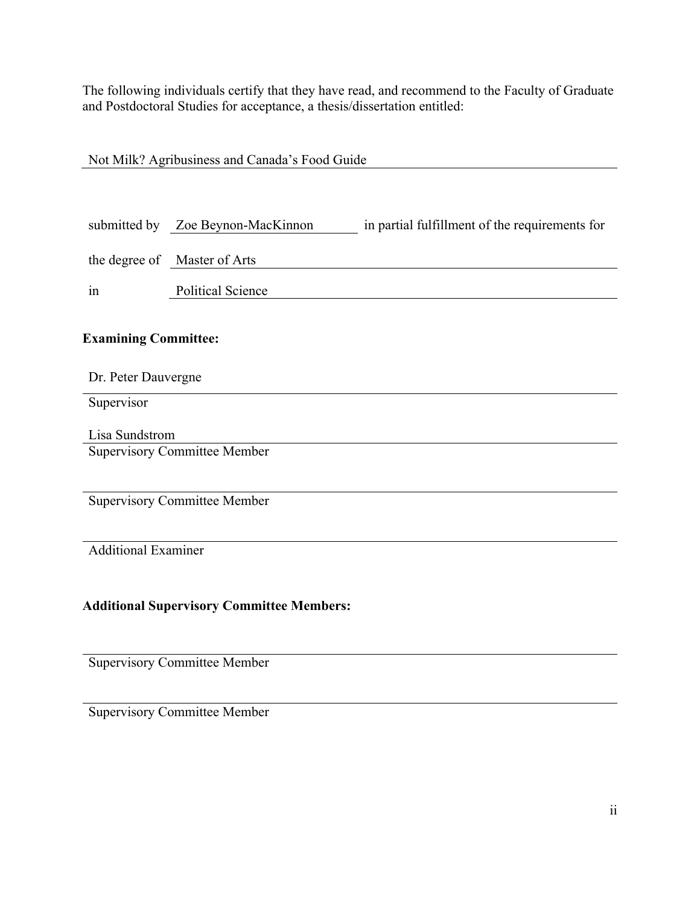The following individuals certify that they have read, and recommend to the Faculty of Graduate and Postdoctoral Studies for acceptance, a thesis/dissertation entitled:

| Not Milk? Agribusiness and Canada's Food Guide   |                                     |                                                |  |
|--------------------------------------------------|-------------------------------------|------------------------------------------------|--|
|                                                  |                                     |                                                |  |
|                                                  |                                     |                                                |  |
|                                                  | submitted by Zoe Beynon-MacKinnon   | in partial fulfillment of the requirements for |  |
|                                                  |                                     |                                                |  |
|                                                  | the degree of Master of Arts        |                                                |  |
| in                                               | <b>Political Science</b>            |                                                |  |
|                                                  |                                     |                                                |  |
| <b>Examining Committee:</b>                      |                                     |                                                |  |
|                                                  |                                     |                                                |  |
| Dr. Peter Dauvergne                              |                                     |                                                |  |
| Supervisor                                       |                                     |                                                |  |
| Lisa Sundstrom                                   |                                     |                                                |  |
| <b>Supervisory Committee Member</b>              |                                     |                                                |  |
|                                                  |                                     |                                                |  |
|                                                  | <b>Supervisory Committee Member</b> |                                                |  |
|                                                  |                                     |                                                |  |
|                                                  |                                     |                                                |  |
| <b>Additional Examiner</b>                       |                                     |                                                |  |
|                                                  |                                     |                                                |  |
| <b>Additional Supervisory Committee Members:</b> |                                     |                                                |  |
|                                                  |                                     |                                                |  |
|                                                  |                                     |                                                |  |

Supervisory Committee Member

Supervisory Committee Member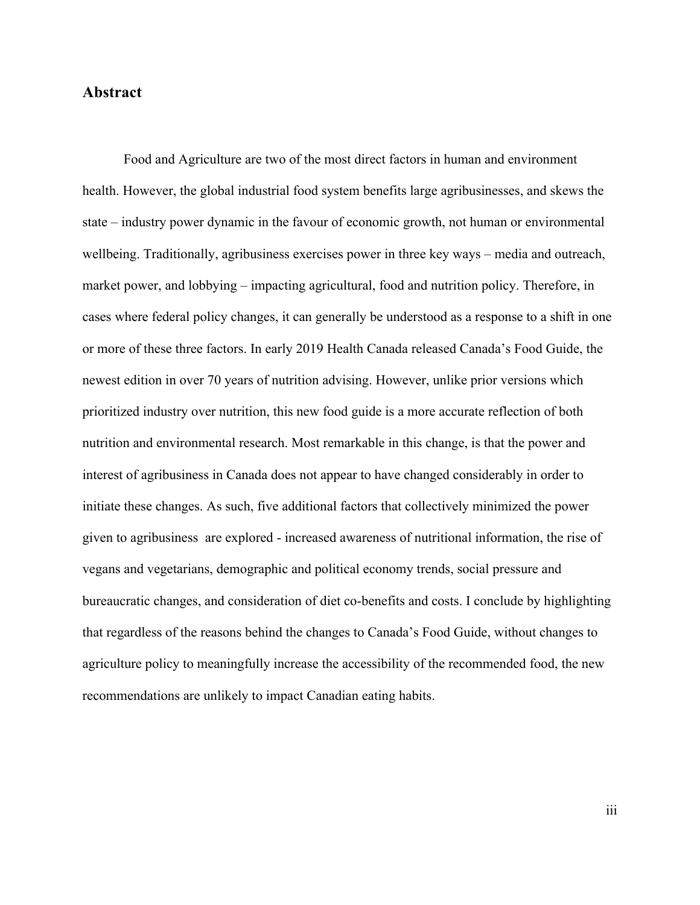# **Abstract**

Food and Agriculture are two of the most direct factors in human and environment health. However, the global industrial food system benefits large agribusinesses, and skews the state – industry power dynamic in the favour of economic growth, not human or environmental wellbeing. Traditionally, agribusiness exercises power in three key ways – media and outreach, market power, and lobbying – impacting agricultural, food and nutrition policy. Therefore, in cases where federal policy changes, it can generally be understood as a response to a shift in one or more of these three factors. In early 2019 Health Canada released Canada's Food Guide, the newest edition in over 70 years of nutrition advising. However, unlike prior versions which prioritized industry over nutrition, this new food guide is a more accurate reflection of both nutrition and environmental research. Most remarkable in this change, is that the power and interest of agribusiness in Canada does not appear to have changed considerably in order to initiate these changes. As such, five additional factors that collectively minimized the power given to agribusiness are explored - increased awareness of nutritional information, the rise of vegans and vegetarians, demographic and political economy trends, social pressure and bureaucratic changes, and consideration of diet co-benefits and costs. I conclude by highlighting that regardless of the reasons behind the changes to Canada's Food Guide, without changes to agriculture policy to meaningfully increase the accessibility of the recommended food, the new recommendations are unlikely to impact Canadian eating habits.

iii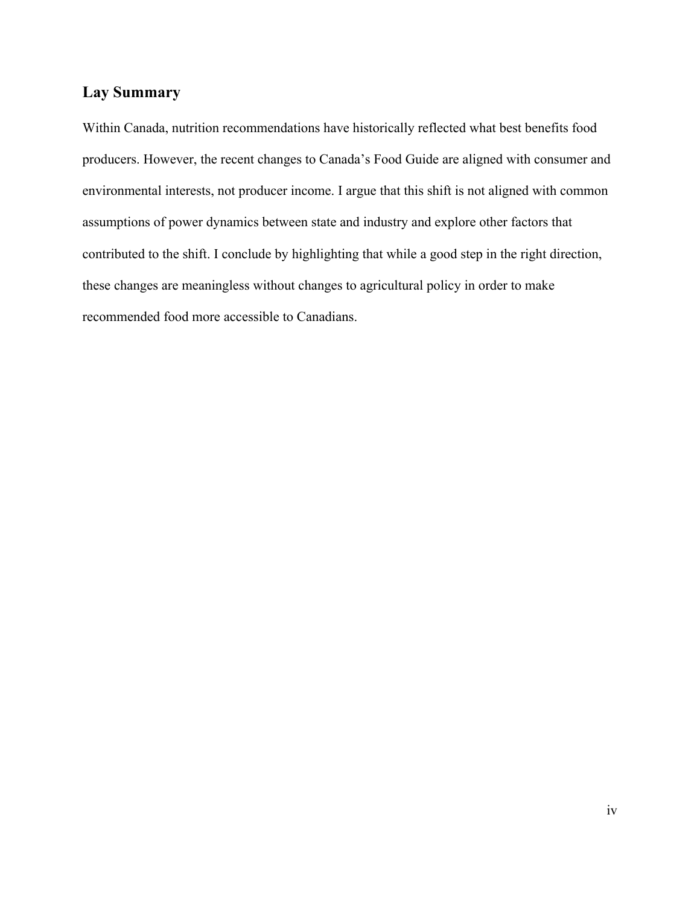# **Lay Summary**

Within Canada, nutrition recommendations have historically reflected what best benefits food producers. However, the recent changes to Canada's Food Guide are aligned with consumer and environmental interests, not producer income. I argue that this shift is not aligned with common assumptions of power dynamics between state and industry and explore other factors that contributed to the shift. I conclude by highlighting that while a good step in the right direction, these changes are meaningless without changes to agricultural policy in order to make recommended food more accessible to Canadians.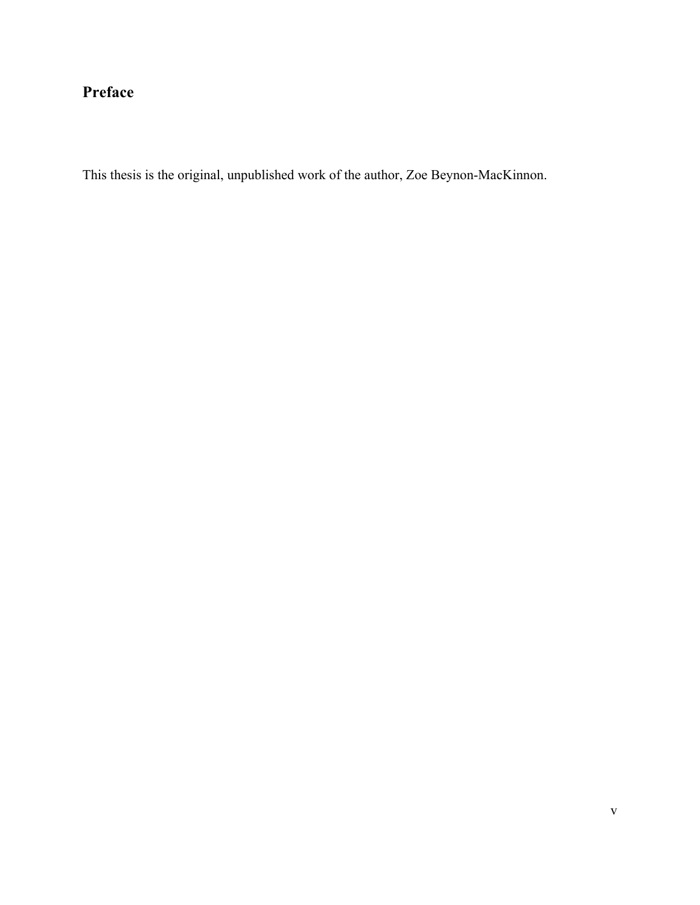# **Preface**

This thesis is the original, unpublished work of the author, Zoe Beynon-MacKinnon.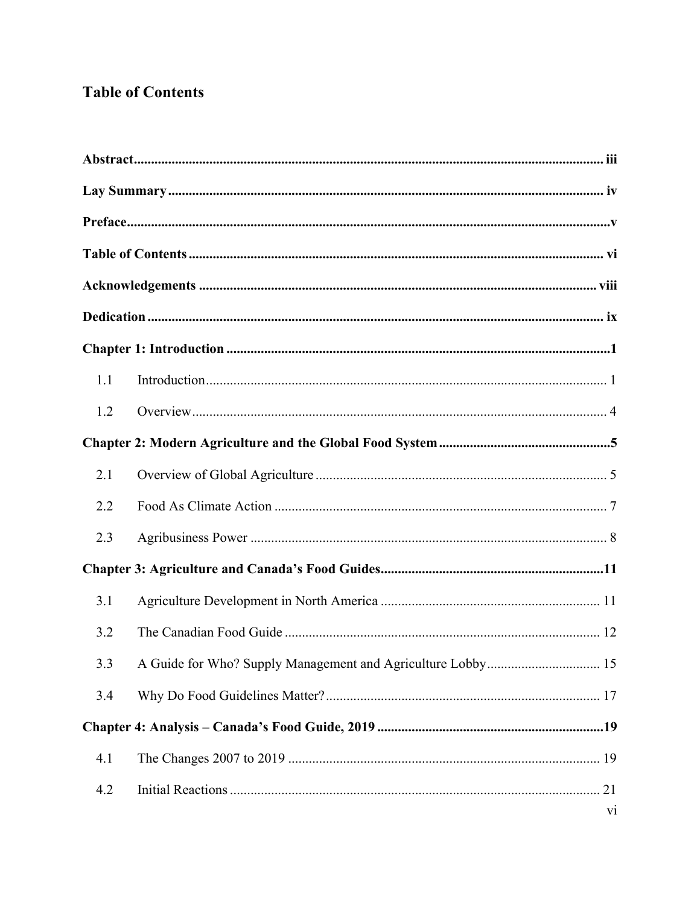# **Table of Contents**

| 1.1 |                |
|-----|----------------|
| 1.2 |                |
|     |                |
| 2.1 |                |
| 2.2 |                |
| 2.3 |                |
|     |                |
| 3.1 |                |
| 3.2 |                |
| 3.3 |                |
| 3.4 |                |
|     |                |
| 4.1 |                |
| 4.2 |                |
|     | v <sub>i</sub> |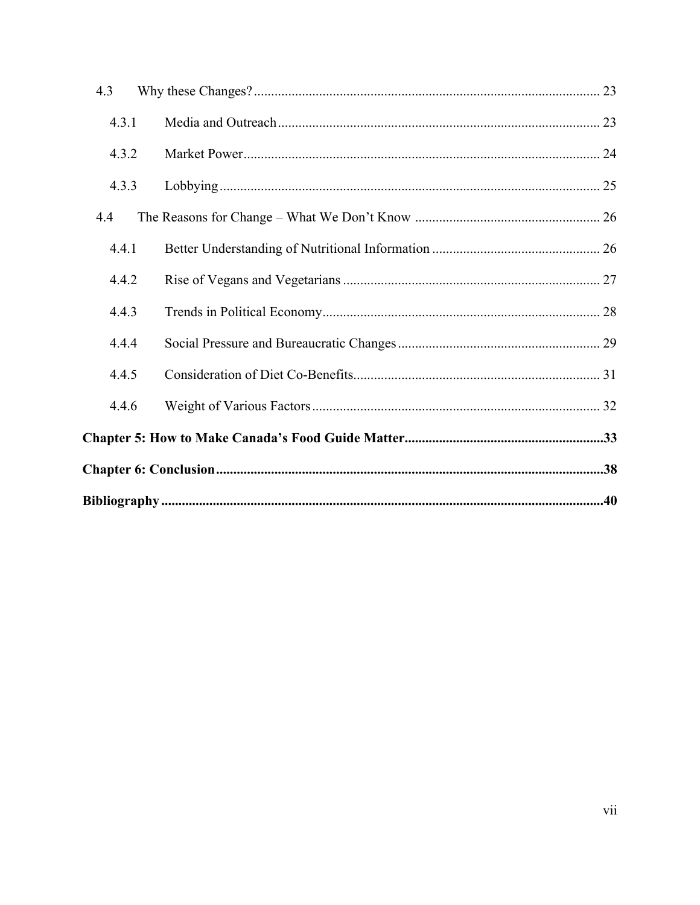| 4.3   |  |  |
|-------|--|--|
| 4.3.1 |  |  |
| 4.3.2 |  |  |
| 4.3.3 |  |  |
| 4.4   |  |  |
| 4.4.1 |  |  |
| 4.4.2 |  |  |
| 4.4.3 |  |  |
| 4.4.4 |  |  |
| 4.4.5 |  |  |
| 4.4.6 |  |  |
|       |  |  |
|       |  |  |
|       |  |  |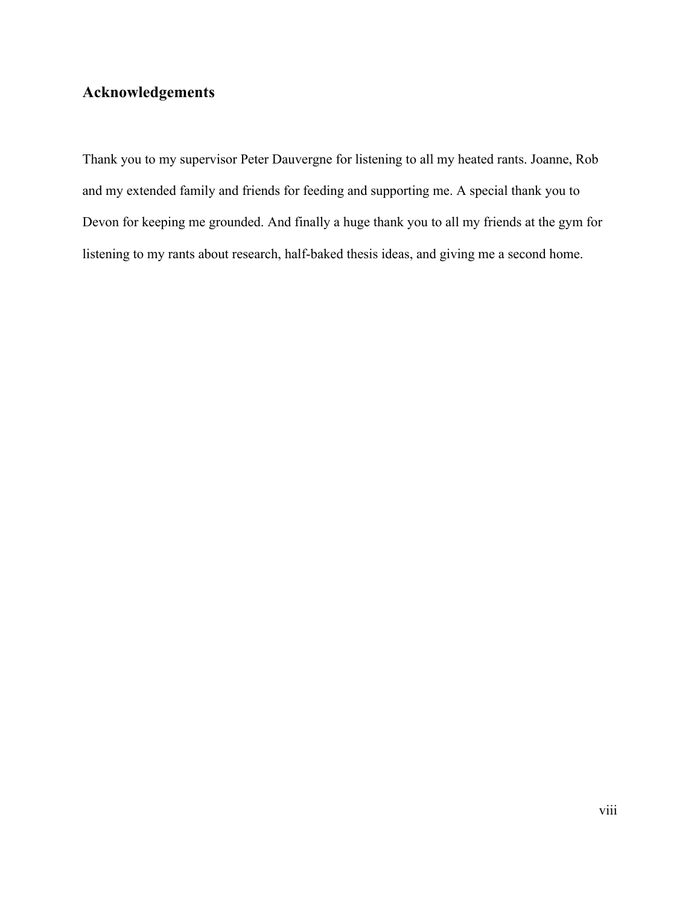# **Acknowledgements**

Thank you to my supervisor Peter Dauvergne for listening to all my heated rants. Joanne, Rob and my extended family and friends for feeding and supporting me. A special thank you to Devon for keeping me grounded. And finally a huge thank you to all my friends at the gym for listening to my rants about research, half-baked thesis ideas, and giving me a second home.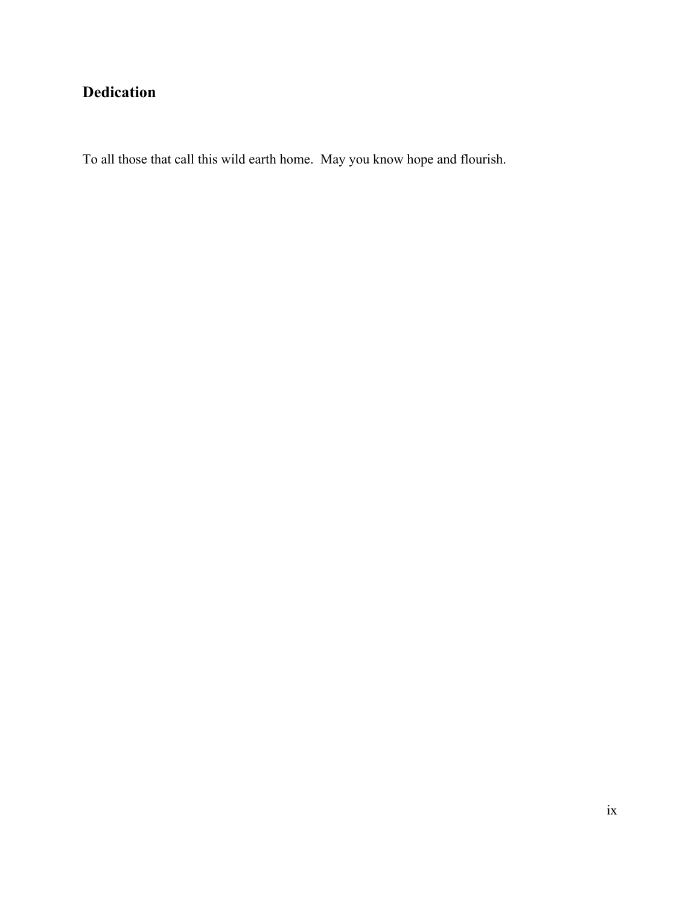# **Dedication**

To all those that call this wild earth home. May you know hope and flourish.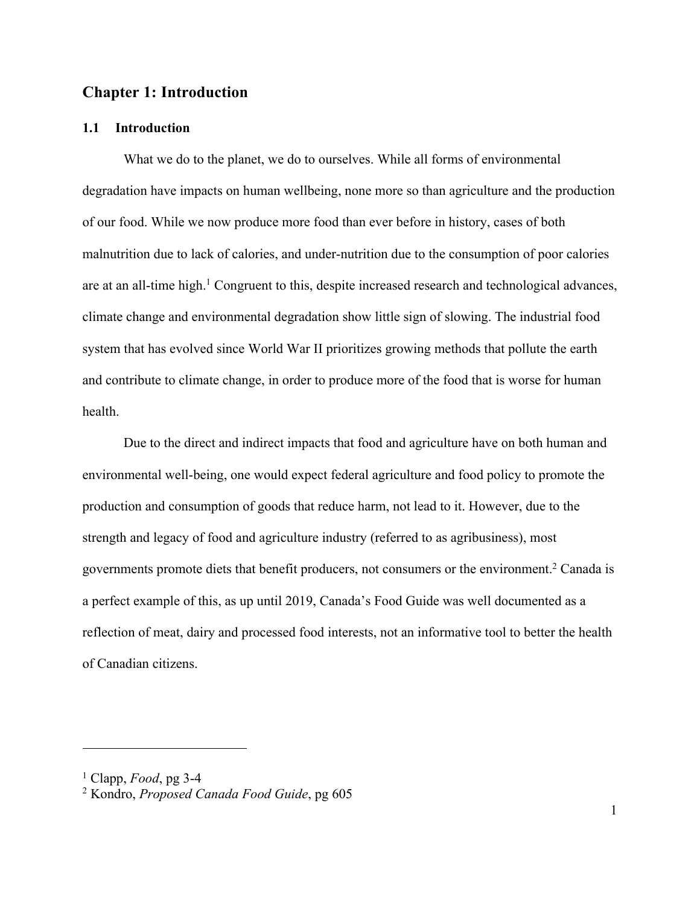# **Chapter 1: Introduction**

#### **1.1 Introduction**

What we do to the planet, we do to ourselves. While all forms of environmental degradation have impacts on human wellbeing, none more so than agriculture and the production of our food. While we now produce more food than ever before in history, cases of both malnutrition due to lack of calories, and under-nutrition due to the consumption of poor calories are at an all-time high.<sup>1</sup> Congruent to this, despite increased research and technological advances, climate change and environmental degradation show little sign of slowing. The industrial food system that has evolved since World War II prioritizes growing methods that pollute the earth and contribute to climate change, in order to produce more of the food that is worse for human health.

Due to the direct and indirect impacts that food and agriculture have on both human and environmental well-being, one would expect federal agriculture and food policy to promote the production and consumption of goods that reduce harm, not lead to it. However, due to the strength and legacy of food and agriculture industry (referred to as agribusiness), most governments promote diets that benefit producers, not consumers or the environment.2 Canada is a perfect example of this, as up until 2019, Canada's Food Guide was well documented as a reflection of meat, dairy and processed food interests, not an informative tool to better the health of Canadian citizens.

<sup>1</sup> Clapp, *Food*, pg 3-4

<sup>2</sup> Kondro, *Proposed Canada Food Guide*, pg 605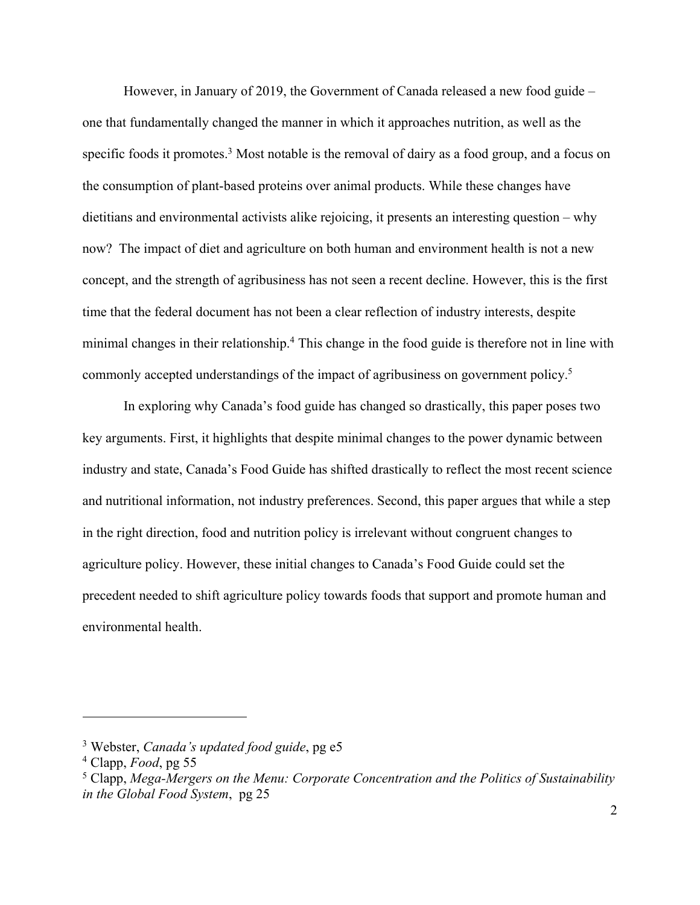However, in January of 2019, the Government of Canada released a new food guide – one that fundamentally changed the manner in which it approaches nutrition, as well as the specific foods it promotes.<sup>3</sup> Most notable is the removal of dairy as a food group, and a focus on the consumption of plant-based proteins over animal products. While these changes have dietitians and environmental activists alike rejoicing, it presents an interesting question – why now? The impact of diet and agriculture on both human and environment health is not a new concept, and the strength of agribusiness has not seen a recent decline. However, this is the first time that the federal document has not been a clear reflection of industry interests, despite minimal changes in their relationship.<sup>4</sup> This change in the food guide is therefore not in line with commonly accepted understandings of the impact of agribusiness on government policy.5

In exploring why Canada's food guide has changed so drastically, this paper poses two key arguments. First, it highlights that despite minimal changes to the power dynamic between industry and state, Canada's Food Guide has shifted drastically to reflect the most recent science and nutritional information, not industry preferences. Second, this paper argues that while a step in the right direction, food and nutrition policy is irrelevant without congruent changes to agriculture policy. However, these initial changes to Canada's Food Guide could set the precedent needed to shift agriculture policy towards foods that support and promote human and environmental health.

<sup>3</sup> Webster, *Canada's updated food guide*, pg e5

<sup>4</sup> Clapp, *Food*, pg 55

<sup>5</sup> Clapp, *Mega-Mergers on the Menu: Corporate Concentration and the Politics of Sustainability in the Global Food System*, pg 25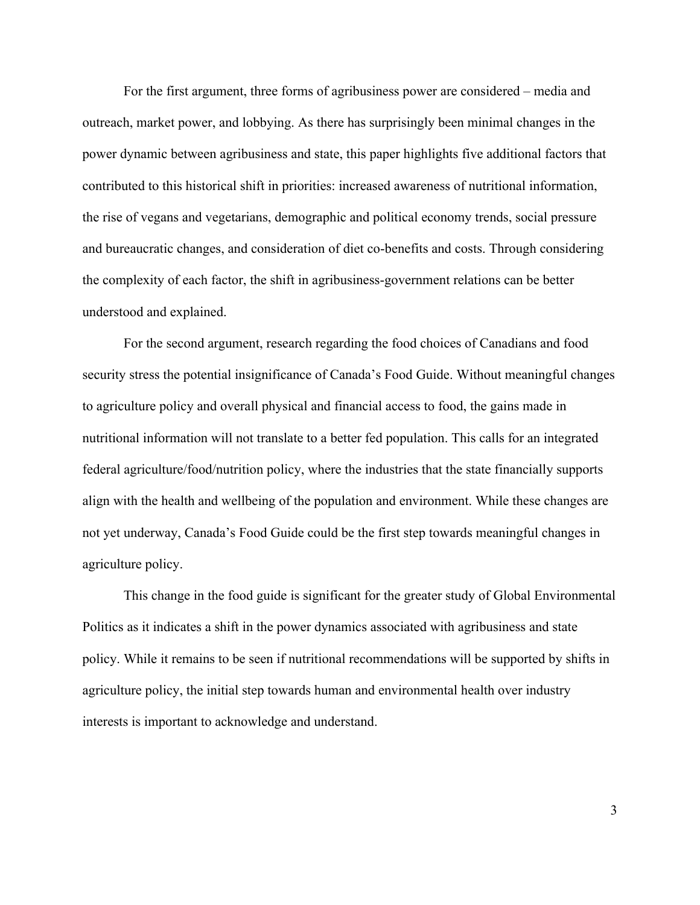For the first argument, three forms of agribusiness power are considered – media and outreach, market power, and lobbying. As there has surprisingly been minimal changes in the power dynamic between agribusiness and state, this paper highlights five additional factors that contributed to this historical shift in priorities: increased awareness of nutritional information, the rise of vegans and vegetarians, demographic and political economy trends, social pressure and bureaucratic changes, and consideration of diet co-benefits and costs. Through considering the complexity of each factor, the shift in agribusiness-government relations can be better understood and explained.

For the second argument, research regarding the food choices of Canadians and food security stress the potential insignificance of Canada's Food Guide. Without meaningful changes to agriculture policy and overall physical and financial access to food, the gains made in nutritional information will not translate to a better fed population. This calls for an integrated federal agriculture/food/nutrition policy, where the industries that the state financially supports align with the health and wellbeing of the population and environment. While these changes are not yet underway, Canada's Food Guide could be the first step towards meaningful changes in agriculture policy.

This change in the food guide is significant for the greater study of Global Environmental Politics as it indicates a shift in the power dynamics associated with agribusiness and state policy. While it remains to be seen if nutritional recommendations will be supported by shifts in agriculture policy, the initial step towards human and environmental health over industry interests is important to acknowledge and understand.

3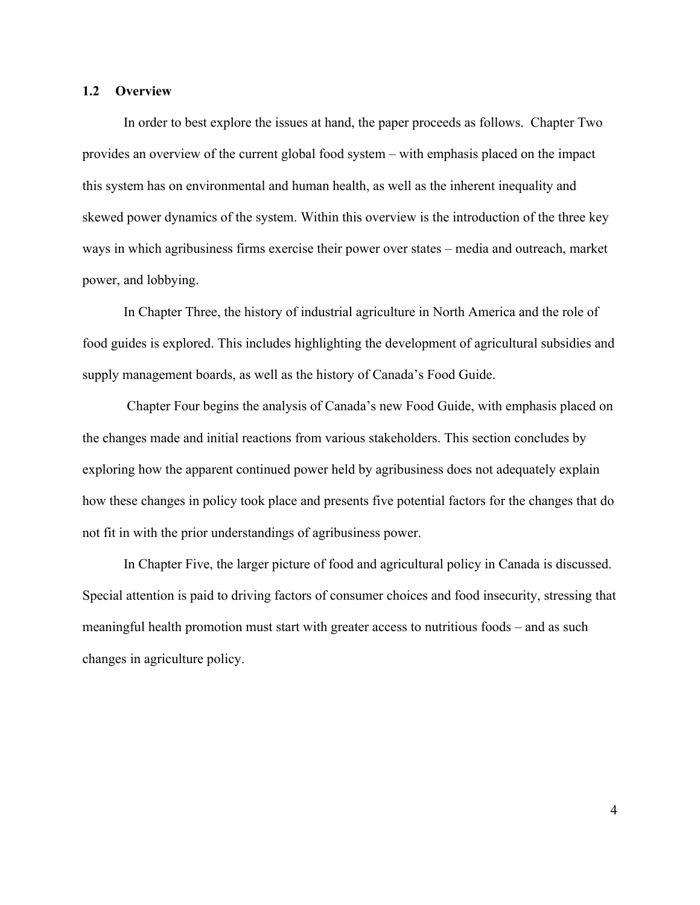#### **1.2 Overview**

In order to best explore the issues at hand, the paper proceeds as follows. Chapter Two provides an overview of the current global food system – with emphasis placed on the impact this system has on environmental and human health, as well as the inherent inequality and skewed power dynamics of the system. Within this overview is the introduction of the three key ways in which agribusiness firms exercise their power over states – media and outreach, market power, and lobbying.

In Chapter Three, the history of industrial agriculture in North America and the role of food guides is explored. This includes highlighting the development of agricultural subsidies and supply management boards, as well as the history of Canada's Food Guide.

Chapter Four begins the analysis of Canada's new Food Guide, with emphasis placed on the changes made and initial reactions from various stakeholders. This section concludes by exploring how the apparent continued power held by agribusiness does not adequately explain how these changes in policy took place and presents five potential factors for the changes that do not fit in with the prior understandings of agribusiness power.

In Chapter Five, the larger picture of food and agricultural policy in Canada is discussed. Special attention is paid to driving factors of consumer choices and food insecurity, stressing that meaningful health promotion must start with greater access to nutritious foods – and as such changes in agriculture policy.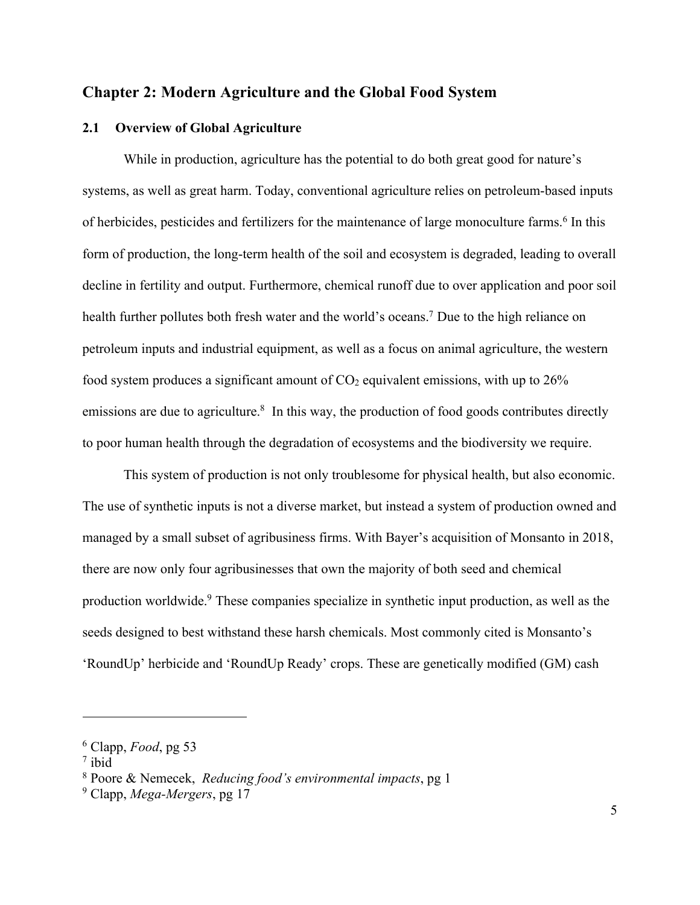# **Chapter 2: Modern Agriculture and the Global Food System**

### **2.1 Overview of Global Agriculture**

While in production, agriculture has the potential to do both great good for nature's systems, as well as great harm. Today, conventional agriculture relies on petroleum-based inputs of herbicides, pesticides and fertilizers for the maintenance of large monoculture farms.<sup>6</sup> In this form of production, the long-term health of the soil and ecosystem is degraded, leading to overall decline in fertility and output. Furthermore, chemical runoff due to over application and poor soil health further pollutes both fresh water and the world's oceans.<sup>7</sup> Due to the high reliance on petroleum inputs and industrial equipment, as well as a focus on animal agriculture, the western food system produces a significant amount of  $CO<sub>2</sub>$  equivalent emissions, with up to  $26\%$ emissions are due to agriculture.<sup>8</sup> In this way, the production of food goods contributes directly to poor human health through the degradation of ecosystems and the biodiversity we require.

This system of production is not only troublesome for physical health, but also economic. The use of synthetic inputs is not a diverse market, but instead a system of production owned and managed by a small subset of agribusiness firms. With Bayer's acquisition of Monsanto in 2018, there are now only four agribusinesses that own the majority of both seed and chemical production worldwide.9 These companies specialize in synthetic input production, as well as the seeds designed to best withstand these harsh chemicals. Most commonly cited is Monsanto's 'RoundUp' herbicide and 'RoundUp Ready' crops. These are genetically modified (GM) cash

<sup>6</sup> Clapp, *Food*, pg 53

<sup>7</sup> ibid

<sup>8</sup> Poore & Nemecek, *Reducing food's environmental impacts*, pg 1

<sup>9</sup> Clapp, *Mega-Mergers*, pg 17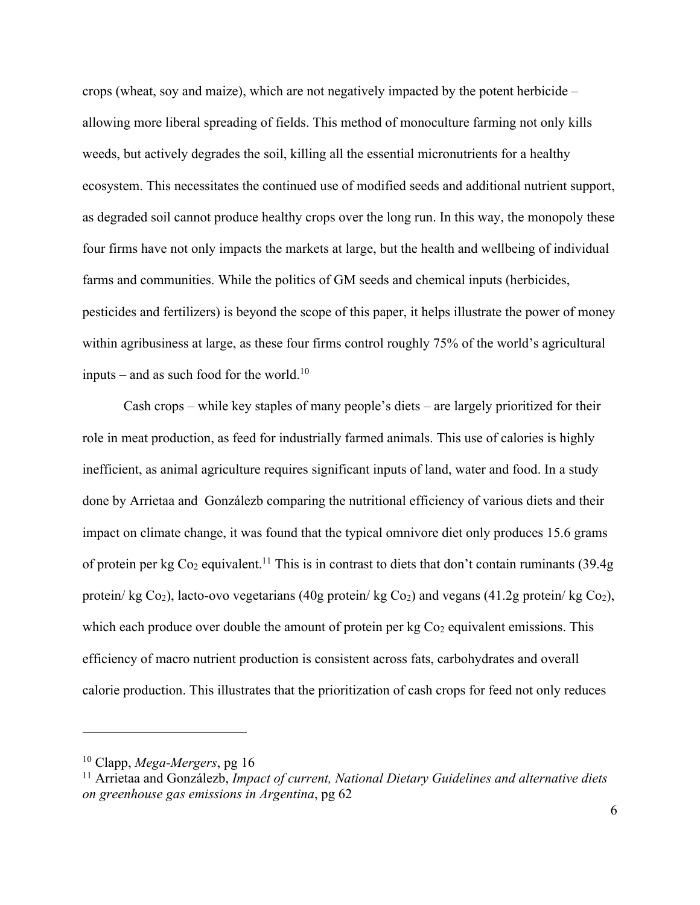crops (wheat, soy and maize), which are not negatively impacted by the potent herbicide – allowing more liberal spreading of fields. This method of monoculture farming not only kills weeds, but actively degrades the soil, killing all the essential micronutrients for a healthy ecosystem. This necessitates the continued use of modified seeds and additional nutrient support, as degraded soil cannot produce healthy crops over the long run. In this way, the monopoly these four firms have not only impacts the markets at large, but the health and wellbeing of individual farms and communities. While the politics of GM seeds and chemical inputs (herbicides, pesticides and fertilizers) is beyond the scope of this paper, it helps illustrate the power of money within agribusiness at large, as these four firms control roughly 75% of the world's agricultural inputs – and as such food for the world. $10$ 

Cash crops – while key staples of many people's diets – are largely prioritized for their role in meat production, as feed for industrially farmed animals. This use of calories is highly inefficient, as animal agriculture requires significant inputs of land, water and food. In a study done by Arrietaa and Gonzálezb comparing the nutritional efficiency of various diets and their impact on climate change, it was found that the typical omnivore diet only produces 15.6 grams of protein per kg Co2 equivalent.11 This is in contrast to diets that don't contain ruminants (39.4g protein/ kg Co<sub>2</sub>), lacto-ovo vegetarians (40g protein/ kg Co<sub>2</sub>) and vegans (41.2g protein/ kg Co<sub>2</sub>), which each produce over double the amount of protein per  $kg Co<sub>2</sub>$  equivalent emissions. This efficiency of macro nutrient production is consistent across fats, carbohydrates and overall calorie production. This illustrates that the prioritization of cash crops for feed not only reduces

<sup>10</sup> Clapp, *Mega-Mergers*, pg 16

<sup>11</sup> Arrietaa and Gonzálezb, *Impact of current, National Dietary Guidelines and alternative diets on greenhouse gas emissions in Argentina*, pg 62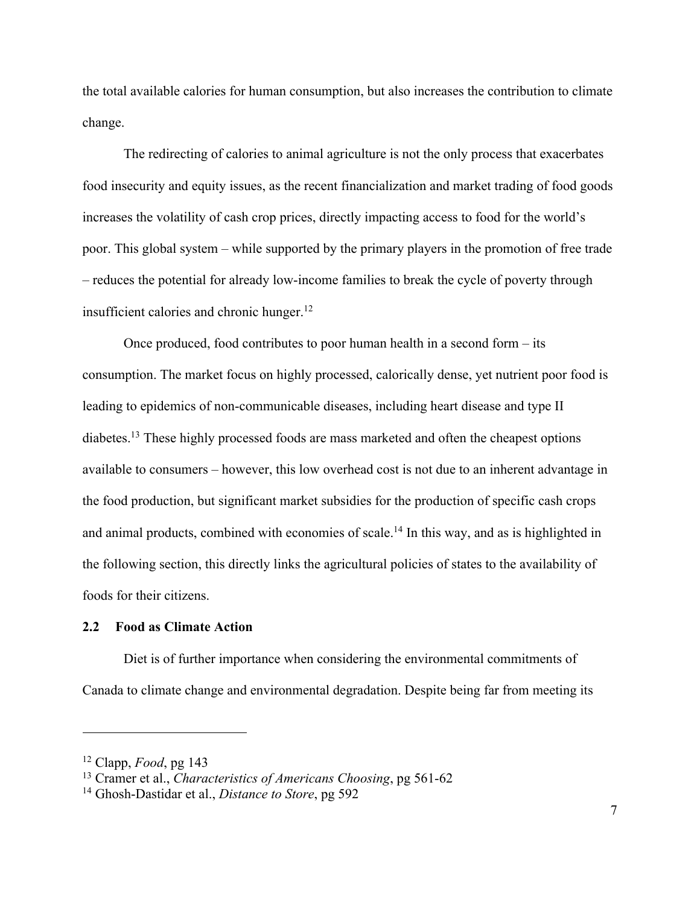the total available calories for human consumption, but also increases the contribution to climate change.

The redirecting of calories to animal agriculture is not the only process that exacerbates food insecurity and equity issues, as the recent financialization and market trading of food goods increases the volatility of cash crop prices, directly impacting access to food for the world's poor. This global system – while supported by the primary players in the promotion of free trade – reduces the potential for already low-income families to break the cycle of poverty through insufficient calories and chronic hunger.<sup>12</sup>

Once produced, food contributes to poor human health in a second form – its consumption. The market focus on highly processed, calorically dense, yet nutrient poor food is leading to epidemics of non-communicable diseases, including heart disease and type II diabetes.13 These highly processed foods are mass marketed and often the cheapest options available to consumers – however, this low overhead cost is not due to an inherent advantage in the food production, but significant market subsidies for the production of specific cash crops and animal products, combined with economies of scale.<sup>14</sup> In this way, and as is highlighted in the following section, this directly links the agricultural policies of states to the availability of foods for their citizens.

#### **2.2 Food as Climate Action**

Diet is of further importance when considering the environmental commitments of Canada to climate change and environmental degradation. Despite being far from meeting its

<sup>12</sup> Clapp, *Food*, pg 143

<sup>13</sup> Cramer et al., *Characteristics of Americans Choosing*, pg 561-62

<sup>14</sup> Ghosh-Dastidar et al., *Distance to Store*, pg 592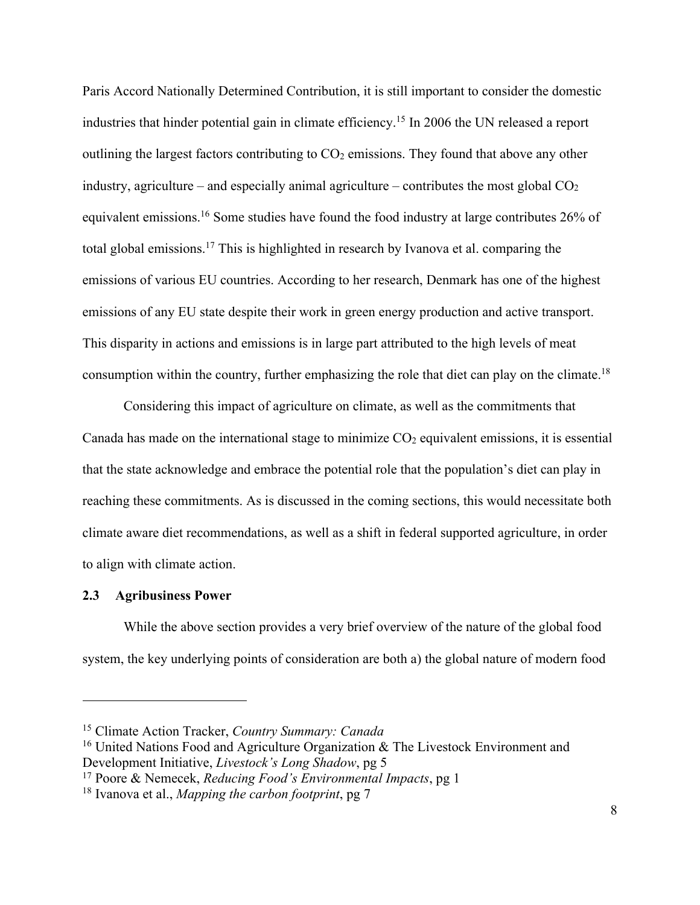Paris Accord Nationally Determined Contribution, it is still important to consider the domestic industries that hinder potential gain in climate efficiency.15 In 2006 the UN released a report outlining the largest factors contributing to  $CO<sub>2</sub>$  emissions. They found that above any other industry, agriculture – and especially animal agriculture – contributes the most global  $CO<sub>2</sub>$ equivalent emissions.16 Some studies have found the food industry at large contributes 26% of total global emissions.17 This is highlighted in research by Ivanova et al. comparing the emissions of various EU countries. According to her research, Denmark has one of the highest emissions of any EU state despite their work in green energy production and active transport. This disparity in actions and emissions is in large part attributed to the high levels of meat consumption within the country, further emphasizing the role that diet can play on the climate.18

Considering this impact of agriculture on climate, as well as the commitments that Canada has made on the international stage to minimize  $CO<sub>2</sub>$  equivalent emissions, it is essential that the state acknowledge and embrace the potential role that the population's diet can play in reaching these commitments. As is discussed in the coming sections, this would necessitate both climate aware diet recommendations, as well as a shift in federal supported agriculture, in order to align with climate action.

#### **2.3 Agribusiness Power**

 $\overline{a}$ 

While the above section provides a very brief overview of the nature of the global food system, the key underlying points of consideration are both a) the global nature of modern food

<sup>15</sup> Climate Action Tracker, *Country Summary: Canada*

<sup>&</sup>lt;sup>16</sup> United Nations Food and Agriculture Organization & The Livestock Environment and Development Initiative, *Livestock's Long Shadow*, pg 5

<sup>17</sup> Poore & Nemecek, *Reducing Food's Environmental Impacts*, pg 1

<sup>18</sup> Ivanova et al., *Mapping the carbon footprint*, pg 7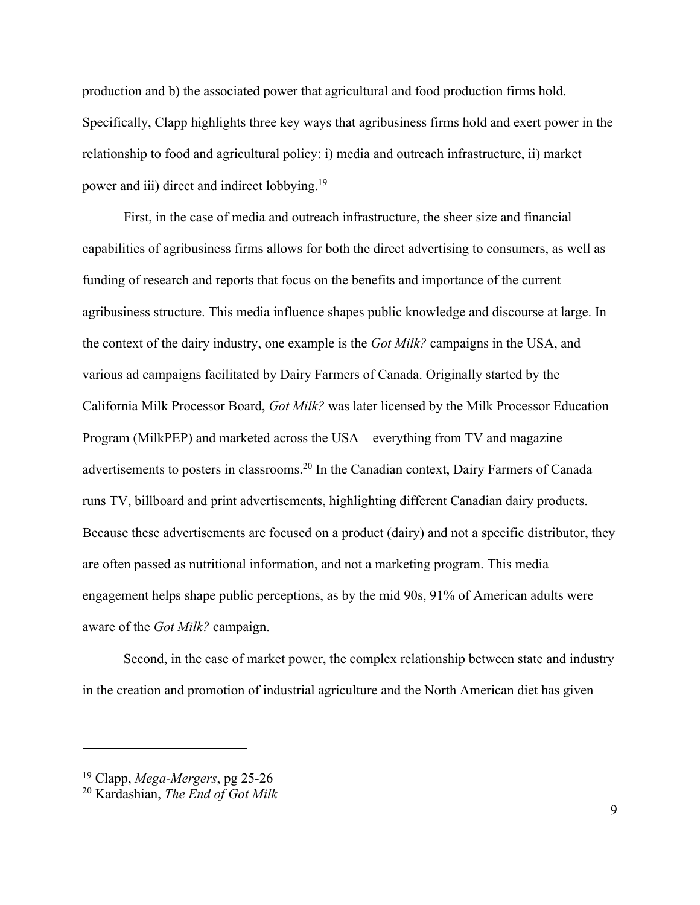production and b) the associated power that agricultural and food production firms hold. Specifically, Clapp highlights three key ways that agribusiness firms hold and exert power in the relationship to food and agricultural policy: i) media and outreach infrastructure, ii) market power and iii) direct and indirect lobbying.19

First, in the case of media and outreach infrastructure, the sheer size and financial capabilities of agribusiness firms allows for both the direct advertising to consumers, as well as funding of research and reports that focus on the benefits and importance of the current agribusiness structure. This media influence shapes public knowledge and discourse at large. In the context of the dairy industry, one example is the *Got Milk?* campaigns in the USA, and various ad campaigns facilitated by Dairy Farmers of Canada. Originally started by the California Milk Processor Board, *Got Milk?* was later licensed by the Milk Processor Education Program (MilkPEP) and marketed across the USA – everything from TV and magazine advertisements to posters in classrooms.20 In the Canadian context, Dairy Farmers of Canada runs TV, billboard and print advertisements, highlighting different Canadian dairy products. Because these advertisements are focused on a product (dairy) and not a specific distributor, they are often passed as nutritional information, and not a marketing program. This media engagement helps shape public perceptions, as by the mid 90s, 91% of American adults were aware of the *Got Milk?* campaign.

Second, in the case of market power, the complex relationship between state and industry in the creation and promotion of industrial agriculture and the North American diet has given

<sup>19</sup> Clapp, *Mega-Mergers*, pg 25-26

<sup>20</sup> Kardashian, *The End of Got Milk*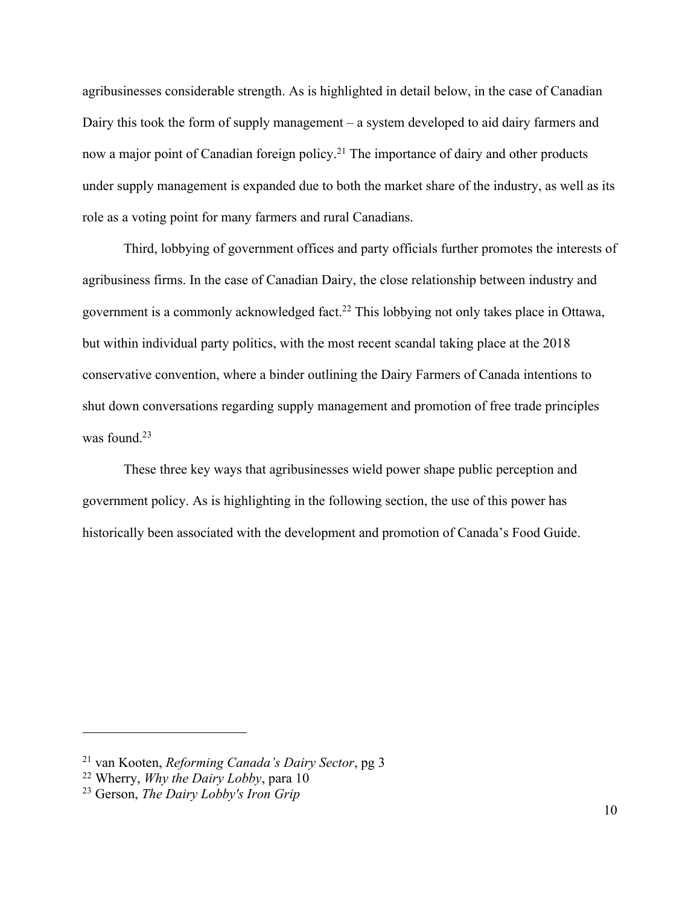agribusinesses considerable strength. As is highlighted in detail below, in the case of Canadian Dairy this took the form of supply management – a system developed to aid dairy farmers and now a major point of Canadian foreign policy.<sup>21</sup> The importance of dairy and other products under supply management is expanded due to both the market share of the industry, as well as its role as a voting point for many farmers and rural Canadians.

Third, lobbying of government offices and party officials further promotes the interests of agribusiness firms. In the case of Canadian Dairy, the close relationship between industry and government is a commonly acknowledged fact.<sup>22</sup> This lobbying not only takes place in Ottawa, but within individual party politics, with the most recent scandal taking place at the 2018 conservative convention, where a binder outlining the Dairy Farmers of Canada intentions to shut down conversations regarding supply management and promotion of free trade principles was found. $23$ 

These three key ways that agribusinesses wield power shape public perception and government policy. As is highlighting in the following section, the use of this power has historically been associated with the development and promotion of Canada's Food Guide.

<sup>21</sup> van Kooten, *Reforming Canada's Dairy Sector*, pg 3

<sup>22</sup> Wherry, *Why the Dairy Lobby*, para 10

<sup>23</sup> Gerson, *The Dairy Lobby's Iron Grip*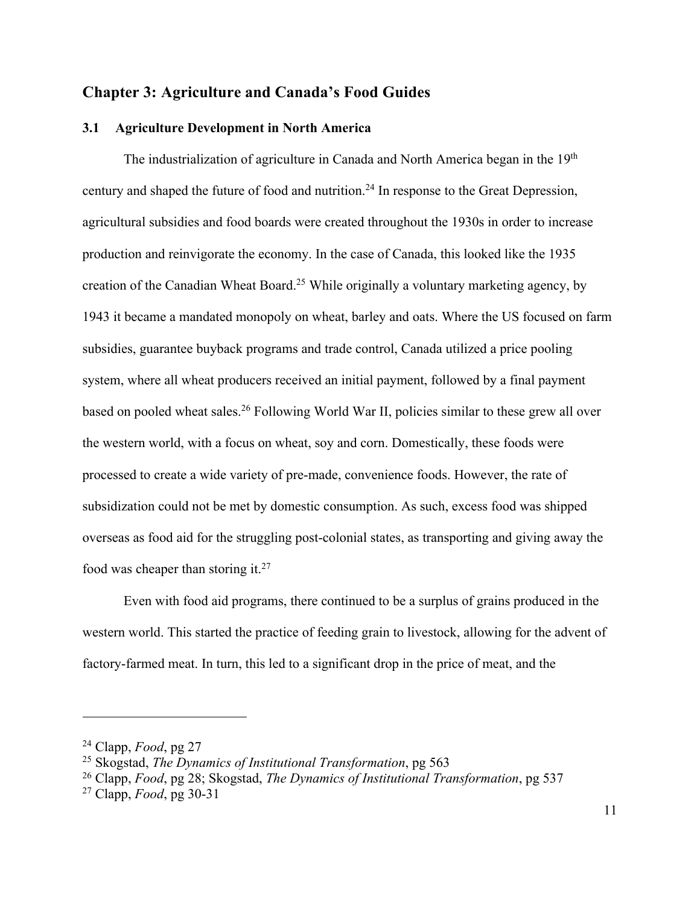# **Chapter 3: Agriculture and Canada's Food Guides**

### **3.1 Agriculture Development in North America**

The industrialization of agriculture in Canada and North America began in the 19<sup>th</sup> century and shaped the future of food and nutrition.24 In response to the Great Depression, agricultural subsidies and food boards were created throughout the 1930s in order to increase production and reinvigorate the economy. In the case of Canada, this looked like the 1935 creation of the Canadian Wheat Board.<sup>25</sup> While originally a voluntary marketing agency, by 1943 it became a mandated monopoly on wheat, barley and oats. Where the US focused on farm subsidies, guarantee buyback programs and trade control, Canada utilized a price pooling system, where all wheat producers received an initial payment, followed by a final payment based on pooled wheat sales.<sup>26</sup> Following World War II, policies similar to these grew all over the western world, with a focus on wheat, soy and corn. Domestically, these foods were processed to create a wide variety of pre-made, convenience foods. However, the rate of subsidization could not be met by domestic consumption. As such, excess food was shipped overseas as food aid for the struggling post-colonial states, as transporting and giving away the food was cheaper than storing it. $27$ 

Even with food aid programs, there continued to be a surplus of grains produced in the western world. This started the practice of feeding grain to livestock, allowing for the advent of factory-farmed meat. In turn, this led to a significant drop in the price of meat, and the

<sup>24</sup> Clapp, *Food*, pg 27

<sup>25</sup> Skogstad, *The Dynamics of Institutional Transformation*, pg 563

<sup>26</sup> Clapp, *Food*, pg 28; Skogstad, *The Dynamics of Institutional Transformation*, pg 537

<sup>27</sup> Clapp, *Food*, pg 30-31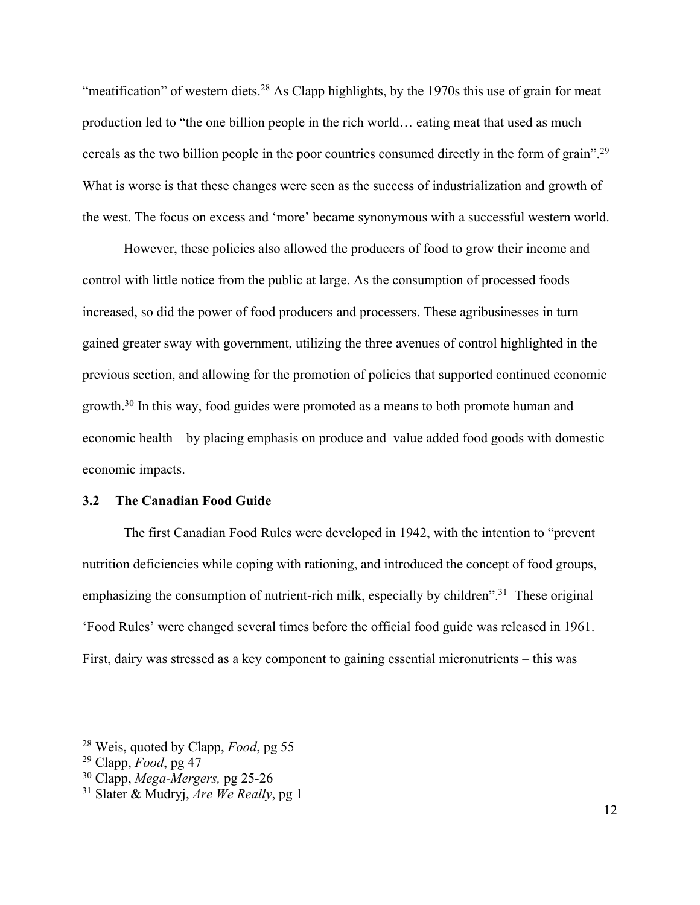"meatification" of western diets.<sup>28</sup> As Clapp highlights, by the 1970s this use of grain for meat production led to "the one billion people in the rich world… eating meat that used as much cereals as the two billion people in the poor countries consumed directly in the form of grain".29 What is worse is that these changes were seen as the success of industrialization and growth of the west. The focus on excess and 'more' became synonymous with a successful western world.

However, these policies also allowed the producers of food to grow their income and control with little notice from the public at large. As the consumption of processed foods increased, so did the power of food producers and processers. These agribusinesses in turn gained greater sway with government, utilizing the three avenues of control highlighted in the previous section, and allowing for the promotion of policies that supported continued economic growth.30 In this way, food guides were promoted as a means to both promote human and economic health – by placing emphasis on produce and value added food goods with domestic economic impacts.

#### **3.2 The Canadian Food Guide**

The first Canadian Food Rules were developed in 1942, with the intention to "prevent nutrition deficiencies while coping with rationing, and introduced the concept of food groups, emphasizing the consumption of nutrient-rich milk, especially by children".<sup>31</sup> These original 'Food Rules' were changed several times before the official food guide was released in 1961. First, dairy was stressed as a key component to gaining essential micronutrients – this was

 $\overline{a}$ 

<sup>30</sup> Clapp, *Mega-Mergers,* pg 25-26

<sup>28</sup> Weis, quoted by Clapp, *Food*, pg 55

<sup>29</sup> Clapp, *Food*, pg 47

<sup>31</sup> Slater & Mudryj, *Are We Really*, pg 1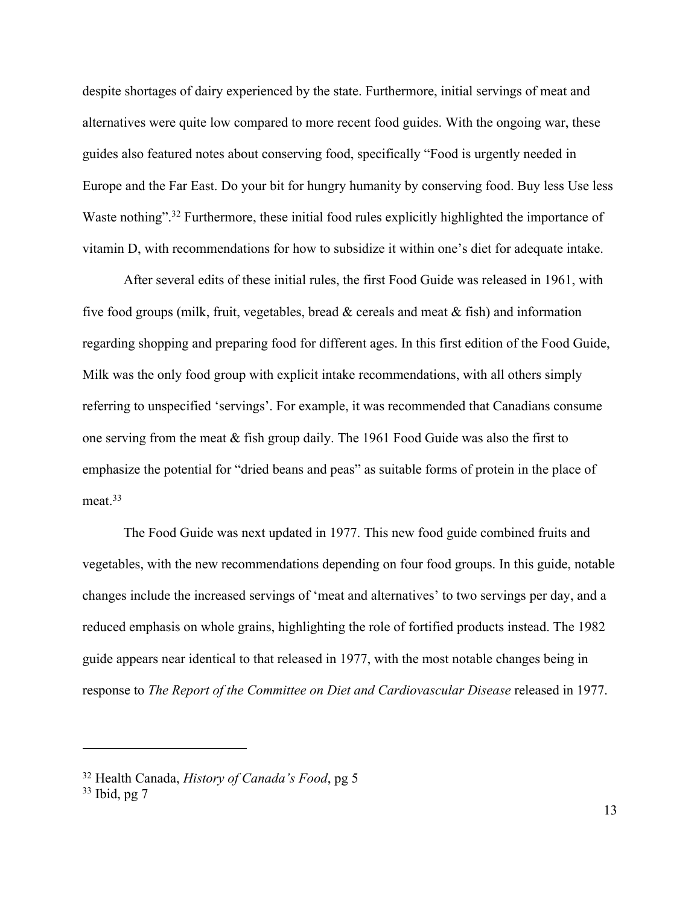despite shortages of dairy experienced by the state. Furthermore, initial servings of meat and alternatives were quite low compared to more recent food guides. With the ongoing war, these guides also featured notes about conserving food, specifically "Food is urgently needed in Europe and the Far East. Do your bit for hungry humanity by conserving food. Buy less Use less Waste nothing".<sup>32</sup> Furthermore, these initial food rules explicitly highlighted the importance of vitamin D, with recommendations for how to subsidize it within one's diet for adequate intake.

After several edits of these initial rules, the first Food Guide was released in 1961, with five food groups (milk, fruit, vegetables, bread & cereals and meat & fish) and information regarding shopping and preparing food for different ages. In this first edition of the Food Guide, Milk was the only food group with explicit intake recommendations, with all others simply referring to unspecified 'servings'. For example, it was recommended that Canadians consume one serving from the meat & fish group daily. The 1961 Food Guide was also the first to emphasize the potential for "dried beans and peas" as suitable forms of protein in the place of meat.<sup>33</sup>

The Food Guide was next updated in 1977. This new food guide combined fruits and vegetables, with the new recommendations depending on four food groups. In this guide, notable changes include the increased servings of 'meat and alternatives' to two servings per day, and a reduced emphasis on whole grains, highlighting the role of fortified products instead. The 1982 guide appears near identical to that released in 1977, with the most notable changes being in response to *The Report of the Committee on Diet and Cardiovascular Disease* released in 1977.

<sup>32</sup> Health Canada, *History of Canada's Food*, pg 5

<sup>33</sup> Ibid, pg 7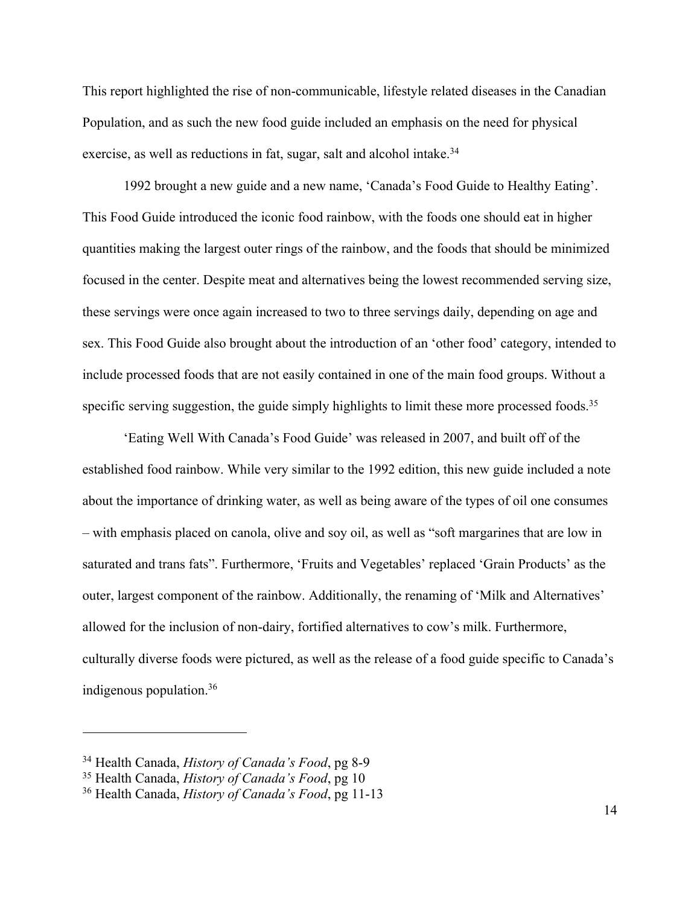This report highlighted the rise of non-communicable, lifestyle related diseases in the Canadian Population, and as such the new food guide included an emphasis on the need for physical exercise, as well as reductions in fat, sugar, salt and alcohol intake.<sup>34</sup>

1992 brought a new guide and a new name, 'Canada's Food Guide to Healthy Eating'. This Food Guide introduced the iconic food rainbow, with the foods one should eat in higher quantities making the largest outer rings of the rainbow, and the foods that should be minimized focused in the center. Despite meat and alternatives being the lowest recommended serving size, these servings were once again increased to two to three servings daily, depending on age and sex. This Food Guide also brought about the introduction of an 'other food' category, intended to include processed foods that are not easily contained in one of the main food groups. Without a specific serving suggestion, the guide simply highlights to limit these more processed foods.<sup>35</sup>

'Eating Well With Canada's Food Guide' was released in 2007, and built off of the established food rainbow. While very similar to the 1992 edition, this new guide included a note about the importance of drinking water, as well as being aware of the types of oil one consumes – with emphasis placed on canola, olive and soy oil, as well as "soft margarines that are low in saturated and trans fats". Furthermore, 'Fruits and Vegetables' replaced 'Grain Products' as the outer, largest component of the rainbow. Additionally, the renaming of 'Milk and Alternatives' allowed for the inclusion of non-dairy, fortified alternatives to cow's milk. Furthermore, culturally diverse foods were pictured, as well as the release of a food guide specific to Canada's indigenous population.36

<sup>34</sup> Health Canada, *History of Canada's Food*, pg 8-9

<sup>35</sup> Health Canada, *History of Canada's Food*, pg 10

<sup>36</sup> Health Canada, *History of Canada's Food*, pg 11-13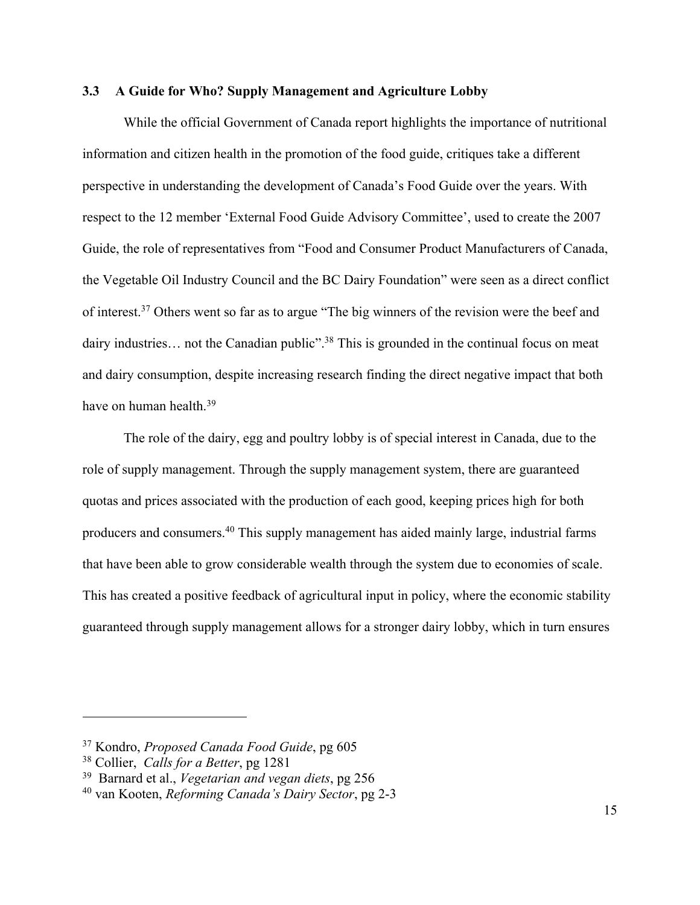#### **3.3 A Guide for Who? Supply Management and Agriculture Lobby**

While the official Government of Canada report highlights the importance of nutritional information and citizen health in the promotion of the food guide, critiques take a different perspective in understanding the development of Canada's Food Guide over the years. With respect to the 12 member 'External Food Guide Advisory Committee', used to create the 2007 Guide, the role of representatives from "Food and Consumer Product Manufacturers of Canada, the Vegetable Oil Industry Council and the BC Dairy Foundation" were seen as a direct conflict of interest.37 Others went so far as to argue "The big winners of the revision were the beef and dairy industries... not the Canadian public"<sup>38</sup>. This is grounded in the continual focus on meat and dairy consumption, despite increasing research finding the direct negative impact that both have on human health.<sup>39</sup>

The role of the dairy, egg and poultry lobby is of special interest in Canada, due to the role of supply management. Through the supply management system, there are guaranteed quotas and prices associated with the production of each good, keeping prices high for both producers and consumers.40 This supply management has aided mainly large, industrial farms that have been able to grow considerable wealth through the system due to economies of scale. This has created a positive feedback of agricultural input in policy, where the economic stability guaranteed through supply management allows for a stronger dairy lobby, which in turn ensures

<sup>37</sup> Kondro, *Proposed Canada Food Guide*, pg 605

<sup>38</sup> Collier, *Calls for a Better*, pg 1281

<sup>39</sup> Barnard et al., *Vegetarian and vegan diets*, pg 256

<sup>40</sup> van Kooten, *Reforming Canada's Dairy Sector*, pg 2-3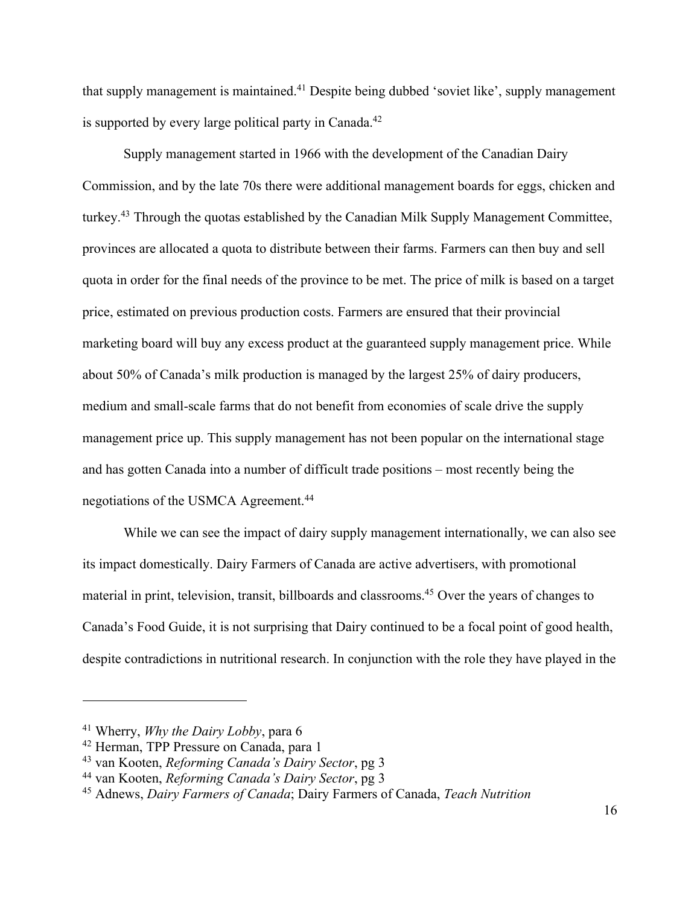that supply management is maintained.<sup>41</sup> Despite being dubbed 'soviet like', supply management is supported by every large political party in Canada.<sup>42</sup>

Supply management started in 1966 with the development of the Canadian Dairy Commission, and by the late 70s there were additional management boards for eggs, chicken and turkey.43 Through the quotas established by the Canadian Milk Supply Management Committee, provinces are allocated a quota to distribute between their farms. Farmers can then buy and sell quota in order for the final needs of the province to be met. The price of milk is based on a target price, estimated on previous production costs. Farmers are ensured that their provincial marketing board will buy any excess product at the guaranteed supply management price. While about 50% of Canada's milk production is managed by the largest 25% of dairy producers, medium and small-scale farms that do not benefit from economies of scale drive the supply management price up. This supply management has not been popular on the international stage and has gotten Canada into a number of difficult trade positions – most recently being the negotiations of the USMCA Agreement.44

While we can see the impact of dairy supply management internationally, we can also see its impact domestically. Dairy Farmers of Canada are active advertisers, with promotional material in print, television, transit, billboards and classrooms.45 Over the years of changes to Canada's Food Guide, it is not surprising that Dairy continued to be a focal point of good health, despite contradictions in nutritional research. In conjunction with the role they have played in the

<sup>41</sup> Wherry, *Why the Dairy Lobby*, para 6

<sup>42</sup> Herman, TPP Pressure on Canada, para 1

<sup>43</sup> van Kooten, *Reforming Canada's Dairy Sector*, pg 3

<sup>44</sup> van Kooten, *Reforming Canada's Dairy Sector*, pg 3

<sup>45</sup> Adnews, *Dairy Farmers of Canada*; Dairy Farmers of Canada, *Teach Nutrition*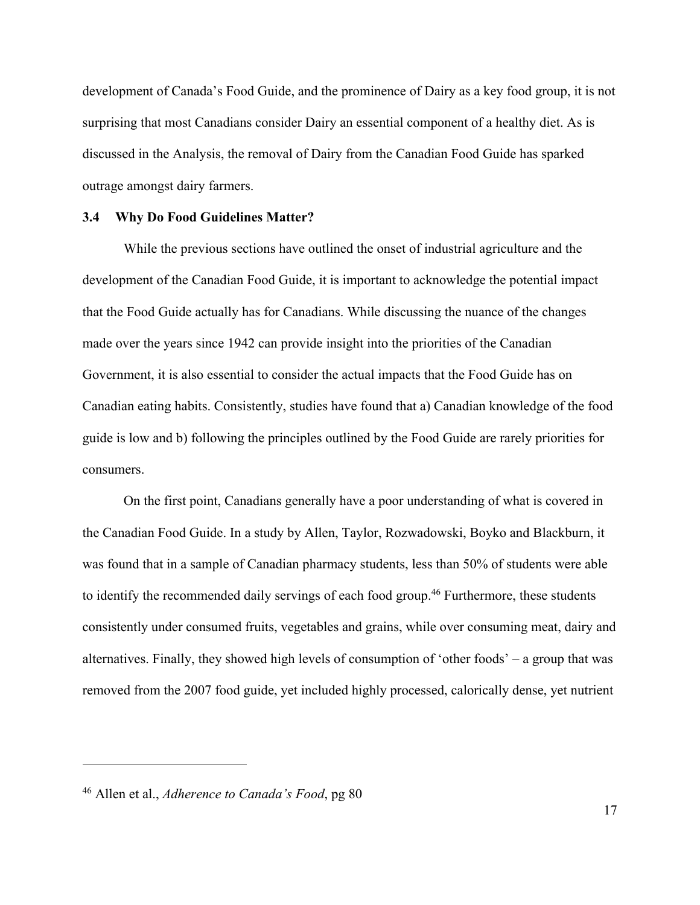development of Canada's Food Guide, and the prominence of Dairy as a key food group, it is not surprising that most Canadians consider Dairy an essential component of a healthy diet. As is discussed in the Analysis, the removal of Dairy from the Canadian Food Guide has sparked outrage amongst dairy farmers.

#### **3.4 Why Do Food Guidelines Matter?**

While the previous sections have outlined the onset of industrial agriculture and the development of the Canadian Food Guide, it is important to acknowledge the potential impact that the Food Guide actually has for Canadians. While discussing the nuance of the changes made over the years since 1942 can provide insight into the priorities of the Canadian Government, it is also essential to consider the actual impacts that the Food Guide has on Canadian eating habits. Consistently, studies have found that a) Canadian knowledge of the food guide is low and b) following the principles outlined by the Food Guide are rarely priorities for consumers.

On the first point, Canadians generally have a poor understanding of what is covered in the Canadian Food Guide. In a study by Allen, Taylor, Rozwadowski, Boyko and Blackburn, it was found that in a sample of Canadian pharmacy students, less than 50% of students were able to identify the recommended daily servings of each food group.<sup>46</sup> Furthermore, these students consistently under consumed fruits, vegetables and grains, while over consuming meat, dairy and alternatives. Finally, they showed high levels of consumption of 'other foods' – a group that was removed from the 2007 food guide, yet included highly processed, calorically dense, yet nutrient

<sup>46</sup> Allen et al., *Adherence to Canada's Food*, pg 80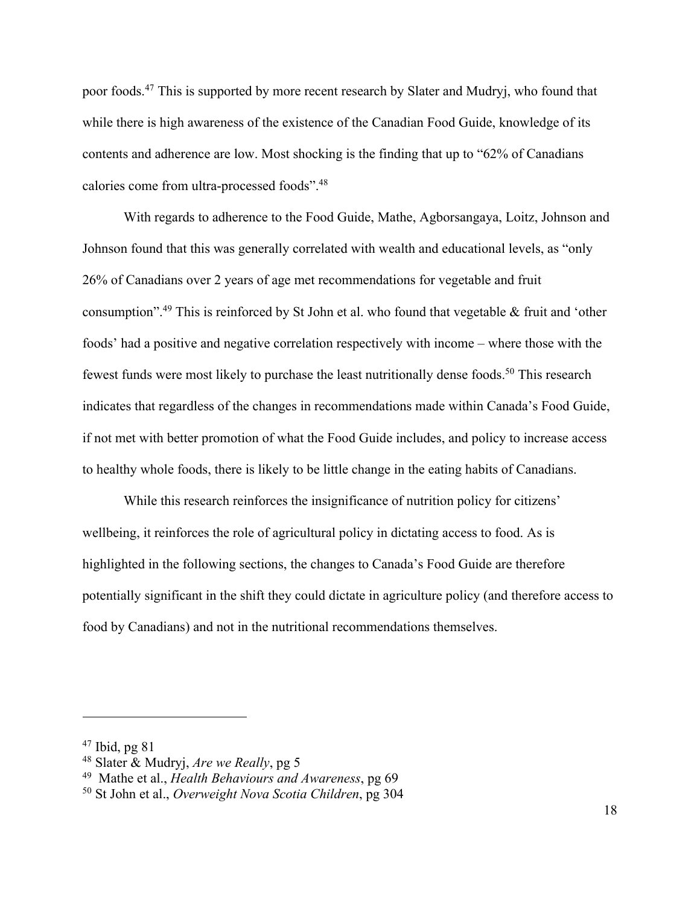poor foods.47 This is supported by more recent research by Slater and Mudryj, who found that while there is high awareness of the existence of the Canadian Food Guide, knowledge of its contents and adherence are low. Most shocking is the finding that up to "62% of Canadians calories come from ultra-processed foods".48

With regards to adherence to the Food Guide, Mathe, Agborsangaya, Loitz, Johnson and Johnson found that this was generally correlated with wealth and educational levels, as "only 26% of Canadians over 2 years of age met recommendations for vegetable and fruit consumption".49 This is reinforced by St John et al. who found that vegetable & fruit and 'other foods' had a positive and negative correlation respectively with income – where those with the fewest funds were most likely to purchase the least nutritionally dense foods.<sup>50</sup> This research indicates that regardless of the changes in recommendations made within Canada's Food Guide, if not met with better promotion of what the Food Guide includes, and policy to increase access to healthy whole foods, there is likely to be little change in the eating habits of Canadians.

While this research reinforces the insignificance of nutrition policy for citizens' wellbeing, it reinforces the role of agricultural policy in dictating access to food. As is highlighted in the following sections, the changes to Canada's Food Guide are therefore potentially significant in the shift they could dictate in agriculture policy (and therefore access to food by Canadians) and not in the nutritional recommendations themselves.

 $47$  Ibid, pg 81

<sup>48</sup> Slater & Mudryj, *Are we Really*, pg 5

<sup>49</sup> Mathe et al., *Health Behaviours and Awareness*, pg 69

<sup>50</sup> St John et al., *Overweight Nova Scotia Children*, pg 304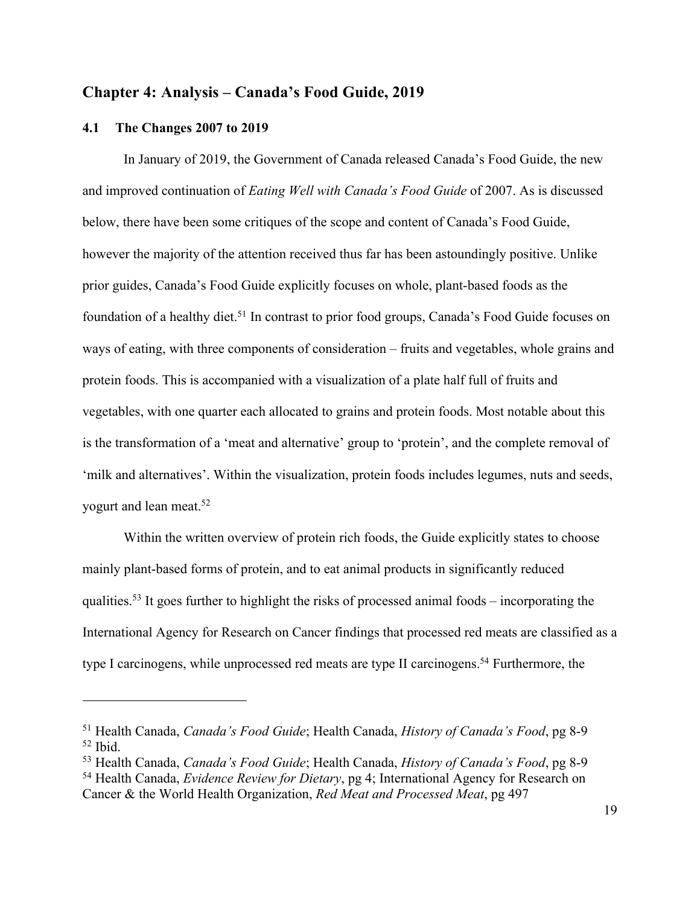# **Chapter 4: Analysis – Canada's Food Guide, 2019**

#### **4.1 The Changes 2007 to 2019**

 $\overline{a}$ 

In January of 2019, the Government of Canada released Canada's Food Guide, the new and improved continuation of *Eating Well with Canada's Food Guide* of 2007. As is discussed below, there have been some critiques of the scope and content of Canada's Food Guide, however the majority of the attention received thus far has been astoundingly positive. Unlike prior guides, Canada's Food Guide explicitly focuses on whole, plant-based foods as the foundation of a healthy diet.<sup>51</sup> In contrast to prior food groups, Canada's Food Guide focuses on ways of eating, with three components of consideration – fruits and vegetables, whole grains and protein foods. This is accompanied with a visualization of a plate half full of fruits and vegetables, with one quarter each allocated to grains and protein foods. Most notable about this is the transformation of a 'meat and alternative' group to 'protein', and the complete removal of 'milk and alternatives'. Within the visualization, protein foods includes legumes, nuts and seeds, yogurt and lean meat.52

Within the written overview of protein rich foods, the Guide explicitly states to choose mainly plant-based forms of protein, and to eat animal products in significantly reduced qualities.<sup>53</sup> It goes further to highlight the risks of processed animal foods – incorporating the International Agency for Research on Cancer findings that processed red meats are classified as a type I carcinogens, while unprocessed red meats are type II carcinogens.<sup>54</sup> Furthermore, the

<sup>51</sup> Health Canada, *Canada's Food Guide*; Health Canada, *History of Canada's Food*, pg 8-9  $52$  Ibid.

<sup>53</sup> Health Canada, *Canada's Food Guide*; Health Canada, *History of Canada's Food*, pg 8-9

<sup>54</sup> Health Canada, *Evidence Review for Dietary*, pg 4; International Agency for Research on Cancer & the World Health Organization, *Red Meat and Processed Meat*, pg 497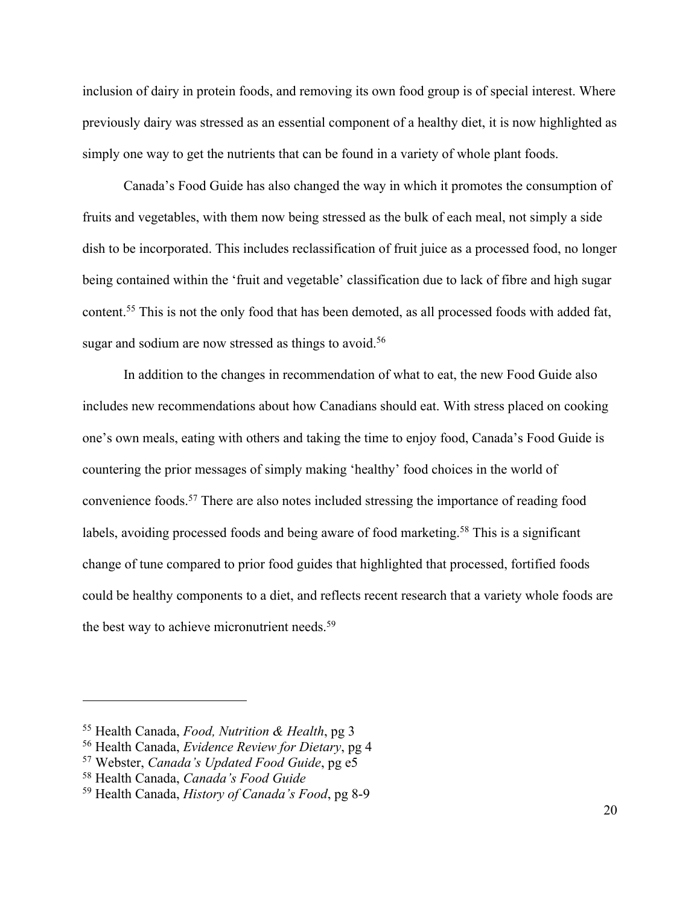inclusion of dairy in protein foods, and removing its own food group is of special interest. Where previously dairy was stressed as an essential component of a healthy diet, it is now highlighted as simply one way to get the nutrients that can be found in a variety of whole plant foods.

Canada's Food Guide has also changed the way in which it promotes the consumption of fruits and vegetables, with them now being stressed as the bulk of each meal, not simply a side dish to be incorporated. This includes reclassification of fruit juice as a processed food, no longer being contained within the 'fruit and vegetable' classification due to lack of fibre and high sugar content.55 This is not the only food that has been demoted, as all processed foods with added fat, sugar and sodium are now stressed as things to avoid.<sup>56</sup>

In addition to the changes in recommendation of what to eat, the new Food Guide also includes new recommendations about how Canadians should eat. With stress placed on cooking one's own meals, eating with others and taking the time to enjoy food, Canada's Food Guide is countering the prior messages of simply making 'healthy' food choices in the world of convenience foods.57 There are also notes included stressing the importance of reading food labels, avoiding processed foods and being aware of food marketing.<sup>58</sup> This is a significant change of tune compared to prior food guides that highlighted that processed, fortified foods could be healthy components to a diet, and reflects recent research that a variety whole foods are the best way to achieve micronutrient needs.<sup>59</sup>

<sup>55</sup> Health Canada, *Food, Nutrition & Health*, pg 3

<sup>56</sup> Health Canada, *Evidence Review for Dietary*, pg 4

<sup>57</sup> Webster, *Canada's Updated Food Guide*, pg e5

<sup>58</sup> Health Canada, *Canada's Food Guide*

<sup>59</sup> Health Canada, *History of Canada's Food*, pg 8-9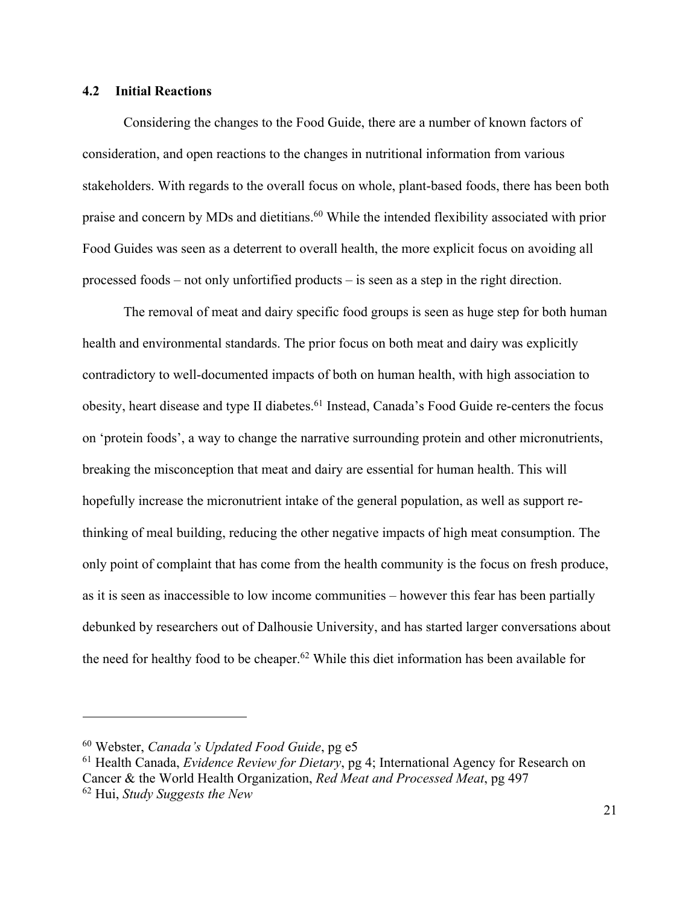# **4.2 Initial Reactions**

Considering the changes to the Food Guide, there are a number of known factors of consideration, and open reactions to the changes in nutritional information from various stakeholders. With regards to the overall focus on whole, plant-based foods, there has been both praise and concern by MDs and dietitians.<sup>60</sup> While the intended flexibility associated with prior Food Guides was seen as a deterrent to overall health, the more explicit focus on avoiding all processed foods – not only unfortified products – is seen as a step in the right direction.

The removal of meat and dairy specific food groups is seen as huge step for both human health and environmental standards. The prior focus on both meat and dairy was explicitly contradictory to well-documented impacts of both on human health, with high association to obesity, heart disease and type II diabetes.<sup>61</sup> Instead, Canada's Food Guide re-centers the focus on 'protein foods', a way to change the narrative surrounding protein and other micronutrients, breaking the misconception that meat and dairy are essential for human health. This will hopefully increase the micronutrient intake of the general population, as well as support rethinking of meal building, reducing the other negative impacts of high meat consumption. The only point of complaint that has come from the health community is the focus on fresh produce, as it is seen as inaccessible to low income communities – however this fear has been partially debunked by researchers out of Dalhousie University, and has started larger conversations about the need for healthy food to be cheaper.<sup>62</sup> While this diet information has been available for

<sup>60</sup> Webster, *Canada's Updated Food Guide*, pg e5

<sup>61</sup> Health Canada, *Evidence Review for Dietary*, pg 4; International Agency for Research on Cancer & the World Health Organization, *Red Meat and Processed Meat*, pg 497

<sup>62</sup> Hui, *Study Suggests the New*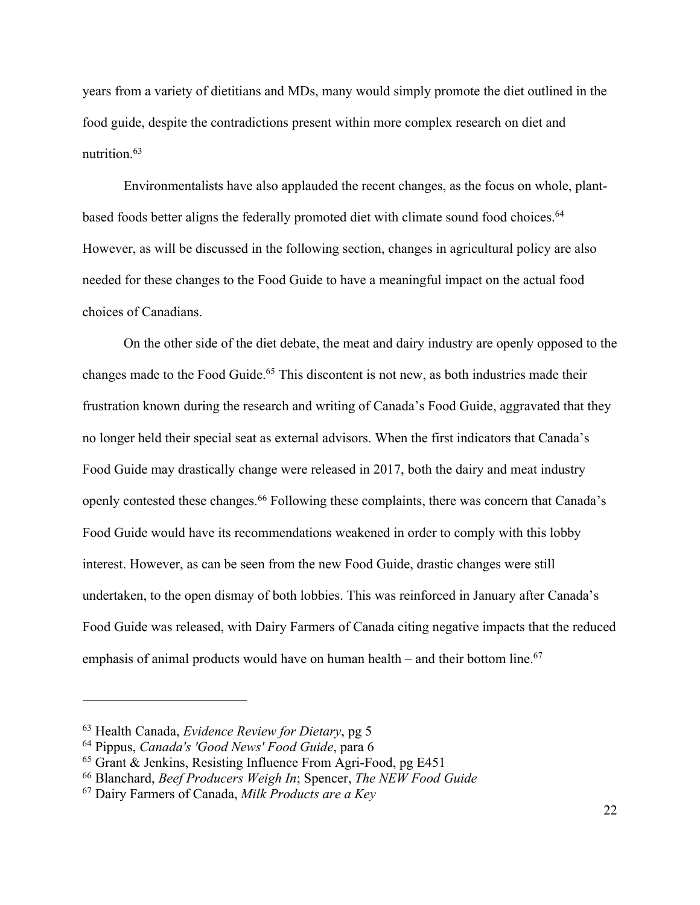years from a variety of dietitians and MDs, many would simply promote the diet outlined in the food guide, despite the contradictions present within more complex research on diet and nutrition.63

Environmentalists have also applauded the recent changes, as the focus on whole, plantbased foods better aligns the federally promoted diet with climate sound food choices.<sup>64</sup> However, as will be discussed in the following section, changes in agricultural policy are also needed for these changes to the Food Guide to have a meaningful impact on the actual food choices of Canadians.

On the other side of the diet debate, the meat and dairy industry are openly opposed to the changes made to the Food Guide.<sup>65</sup> This discontent is not new, as both industries made their frustration known during the research and writing of Canada's Food Guide, aggravated that they no longer held their special seat as external advisors. When the first indicators that Canada's Food Guide may drastically change were released in 2017, both the dairy and meat industry openly contested these changes.<sup>66</sup> Following these complaints, there was concern that Canada's Food Guide would have its recommendations weakened in order to comply with this lobby interest. However, as can be seen from the new Food Guide, drastic changes were still undertaken, to the open dismay of both lobbies. This was reinforced in January after Canada's Food Guide was released, with Dairy Farmers of Canada citing negative impacts that the reduced emphasis of animal products would have on human health – and their bottom line.<sup>67</sup>

<sup>63</sup> Health Canada, *Evidence Review for Dietary*, pg 5

<sup>64</sup> Pippus, *Canada's 'Good News' Food Guide*, para 6

<sup>65</sup> Grant & Jenkins, Resisting Influence From Agri-Food, pg E451

<sup>66</sup> Blanchard, *Beef Producers Weigh In*; Spencer, *The NEW Food Guide*

<sup>67</sup> Dairy Farmers of Canada, *Milk Products are a Key*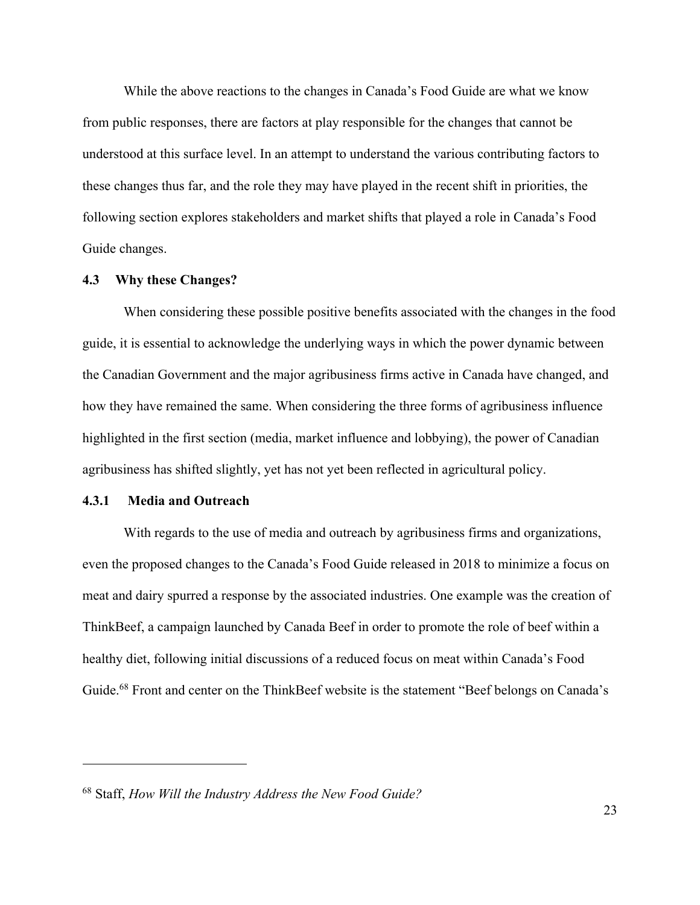While the above reactions to the changes in Canada's Food Guide are what we know from public responses, there are factors at play responsible for the changes that cannot be understood at this surface level. In an attempt to understand the various contributing factors to these changes thus far, and the role they may have played in the recent shift in priorities, the following section explores stakeholders and market shifts that played a role in Canada's Food Guide changes.

#### **4.3 Why these Changes?**

When considering these possible positive benefits associated with the changes in the food guide, it is essential to acknowledge the underlying ways in which the power dynamic between the Canadian Government and the major agribusiness firms active in Canada have changed, and how they have remained the same. When considering the three forms of agribusiness influence highlighted in the first section (media, market influence and lobbying), the power of Canadian agribusiness has shifted slightly, yet has not yet been reflected in agricultural policy.

#### **4.3.1 Media and Outreach**

 $\overline{a}$ 

With regards to the use of media and outreach by agribusiness firms and organizations, even the proposed changes to the Canada's Food Guide released in 2018 to minimize a focus on meat and dairy spurred a response by the associated industries. One example was the creation of ThinkBeef, a campaign launched by Canada Beef in order to promote the role of beef within a healthy diet, following initial discussions of a reduced focus on meat within Canada's Food Guide.<sup>68</sup> Front and center on the ThinkBeef website is the statement "Beef belongs on Canada's

<sup>68</sup> Staff, *How Will the Industry Address the New Food Guide?*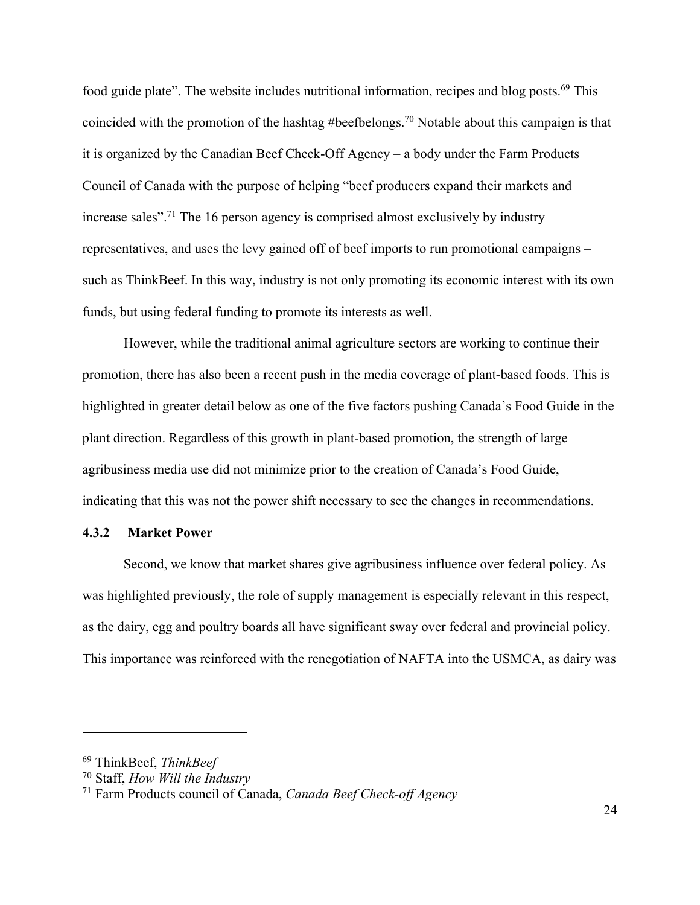food guide plate". The website includes nutritional information, recipes and blog posts.<sup>69</sup> This coincided with the promotion of the hashtag #beefbelongs.70 Notable about this campaign is that it is organized by the Canadian Beef Check-Off Agency – a body under the Farm Products Council of Canada with the purpose of helping "beef producers expand their markets and increase sales".71 The 16 person agency is comprised almost exclusively by industry representatives, and uses the levy gained off of beef imports to run promotional campaigns – such as ThinkBeef. In this way, industry is not only promoting its economic interest with its own funds, but using federal funding to promote its interests as well.

However, while the traditional animal agriculture sectors are working to continue their promotion, there has also been a recent push in the media coverage of plant-based foods. This is highlighted in greater detail below as one of the five factors pushing Canada's Food Guide in the plant direction. Regardless of this growth in plant-based promotion, the strength of large agribusiness media use did not minimize prior to the creation of Canada's Food Guide, indicating that this was not the power shift necessary to see the changes in recommendations.

#### **4.3.2 Market Power**

Second, we know that market shares give agribusiness influence over federal policy. As was highlighted previously, the role of supply management is especially relevant in this respect, as the dairy, egg and poultry boards all have significant sway over federal and provincial policy. This importance was reinforced with the renegotiation of NAFTA into the USMCA, as dairy was

<sup>69</sup> ThinkBeef, *ThinkBeef*

<sup>70</sup> Staff, *How Will the Industry*

<sup>71</sup> Farm Products council of Canada, *Canada Beef Check-off Agency*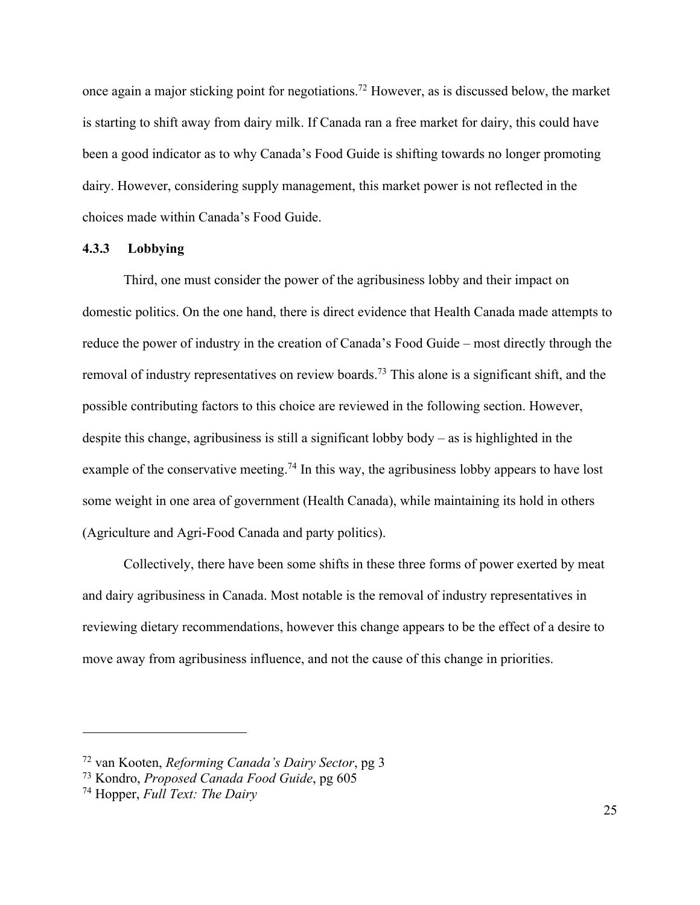once again a major sticking point for negotiations.72 However, as is discussed below, the market is starting to shift away from dairy milk. If Canada ran a free market for dairy, this could have been a good indicator as to why Canada's Food Guide is shifting towards no longer promoting dairy. However, considering supply management, this market power is not reflected in the choices made within Canada's Food Guide.

#### **4.3.3 Lobbying**

Third, one must consider the power of the agribusiness lobby and their impact on domestic politics. On the one hand, there is direct evidence that Health Canada made attempts to reduce the power of industry in the creation of Canada's Food Guide – most directly through the removal of industry representatives on review boards.73 This alone is a significant shift, and the possible contributing factors to this choice are reviewed in the following section. However, despite this change, agribusiness is still a significant lobby body – as is highlighted in the example of the conservative meeting.<sup>74</sup> In this way, the agribusiness lobby appears to have lost some weight in one area of government (Health Canada), while maintaining its hold in others (Agriculture and Agri-Food Canada and party politics).

Collectively, there have been some shifts in these three forms of power exerted by meat and dairy agribusiness in Canada. Most notable is the removal of industry representatives in reviewing dietary recommendations, however this change appears to be the effect of a desire to move away from agribusiness influence, and not the cause of this change in priorities.

<sup>72</sup> van Kooten, *Reforming Canada's Dairy Sector*, pg 3

<sup>73</sup> Kondro, *Proposed Canada Food Guide*, pg 605

<sup>74</sup> Hopper, *Full Text: The Dairy*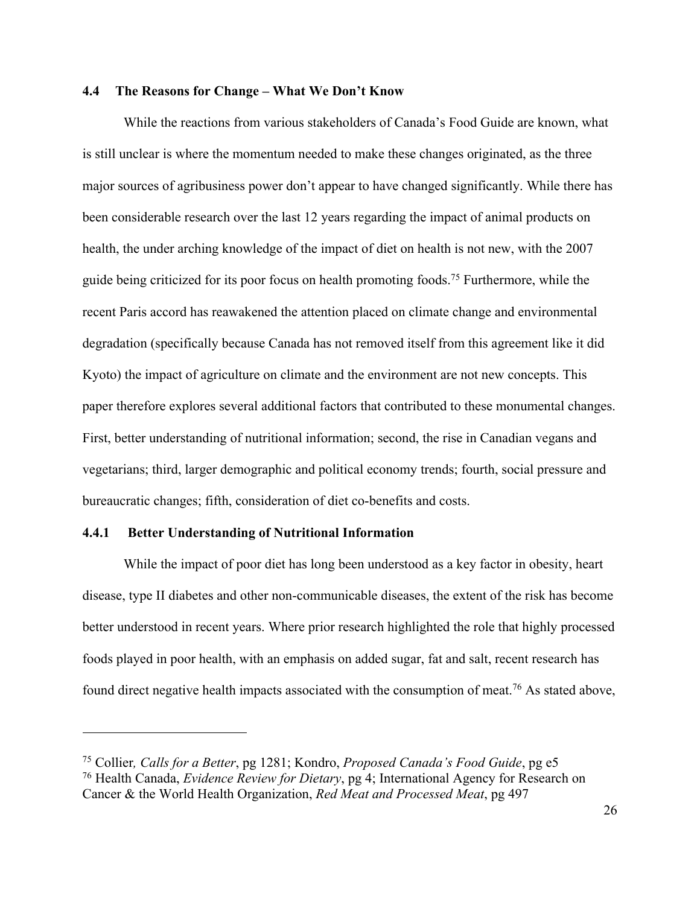#### **4.4 The Reasons for Change – What We Don't Know**

While the reactions from various stakeholders of Canada's Food Guide are known, what is still unclear is where the momentum needed to make these changes originated, as the three major sources of agribusiness power don't appear to have changed significantly. While there has been considerable research over the last 12 years regarding the impact of animal products on health, the under arching knowledge of the impact of diet on health is not new, with the 2007 guide being criticized for its poor focus on health promoting foods.75 Furthermore, while the recent Paris accord has reawakened the attention placed on climate change and environmental degradation (specifically because Canada has not removed itself from this agreement like it did Kyoto) the impact of agriculture on climate and the environment are not new concepts. This paper therefore explores several additional factors that contributed to these monumental changes. First, better understanding of nutritional information; second, the rise in Canadian vegans and vegetarians; third, larger demographic and political economy trends; fourth, social pressure and bureaucratic changes; fifth, consideration of diet co-benefits and costs.

#### **4.4.1 Better Understanding of Nutritional Information**

 $\overline{a}$ 

While the impact of poor diet has long been understood as a key factor in obesity, heart disease, type II diabetes and other non-communicable diseases, the extent of the risk has become better understood in recent years. Where prior research highlighted the role that highly processed foods played in poor health, with an emphasis on added sugar, fat and salt, recent research has found direct negative health impacts associated with the consumption of meat.<sup>76</sup> As stated above,

<sup>75</sup> Collier*, Calls for a Better*, pg 1281; Kondro, *Proposed Canada's Food Guide*, pg e5

<sup>76</sup> Health Canada, *Evidence Review for Dietary*, pg 4; International Agency for Research on Cancer & the World Health Organization, *Red Meat and Processed Meat*, pg 497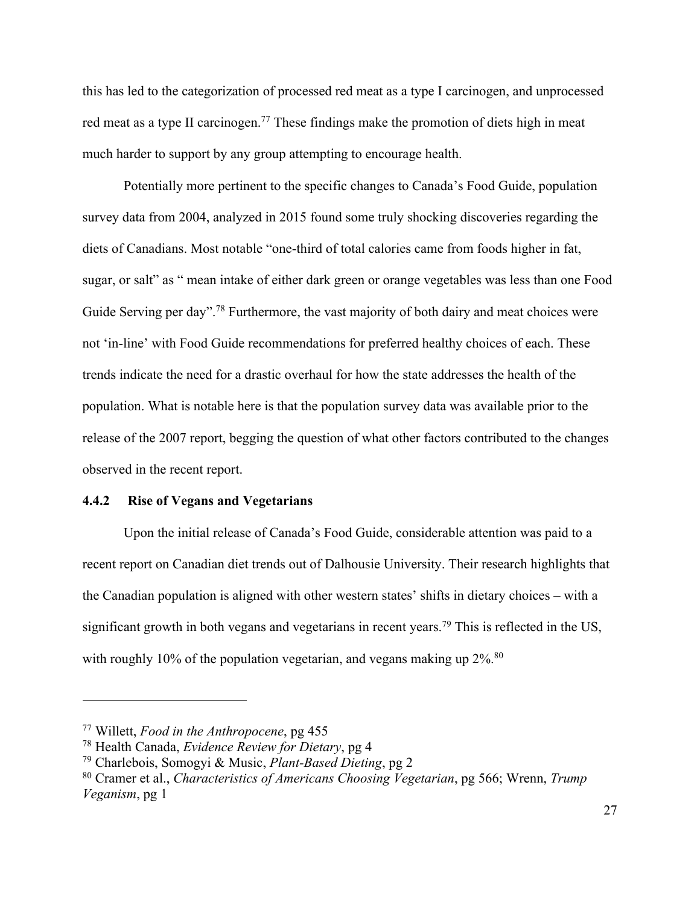this has led to the categorization of processed red meat as a type I carcinogen, and unprocessed red meat as a type II carcinogen.<sup>77</sup> These findings make the promotion of diets high in meat much harder to support by any group attempting to encourage health.

Potentially more pertinent to the specific changes to Canada's Food Guide, population survey data from 2004, analyzed in 2015 found some truly shocking discoveries regarding the diets of Canadians. Most notable "one-third of total calories came from foods higher in fat, sugar, or salt" as " mean intake of either dark green or orange vegetables was less than one Food Guide Serving per day".<sup>78</sup> Furthermore, the vast majority of both dairy and meat choices were not 'in-line' with Food Guide recommendations for preferred healthy choices of each. These trends indicate the need for a drastic overhaul for how the state addresses the health of the population. What is notable here is that the population survey data was available prior to the release of the 2007 report, begging the question of what other factors contributed to the changes observed in the recent report.

#### **4.4.2 Rise of Vegans and Vegetarians**

Upon the initial release of Canada's Food Guide, considerable attention was paid to a recent report on Canadian diet trends out of Dalhousie University. Their research highlights that the Canadian population is aligned with other western states' shifts in dietary choices – with a significant growth in both vegans and vegetarians in recent years.<sup>79</sup> This is reflected in the US, with roughly 10% of the population vegetarian, and vegans making up  $2\%$ .<sup>80</sup>

<sup>77</sup> Willett, *Food in the Anthropocene*, pg 455

<sup>78</sup> Health Canada, *Evidence Review for Dietary*, pg 4

<sup>79</sup> Charlebois, Somogyi & Music, *Plant-Based Dieting*, pg 2

<sup>80</sup> Cramer et al., *Characteristics of Americans Choosing Vegetarian*, pg 566; Wrenn, *Trump Veganism*, pg 1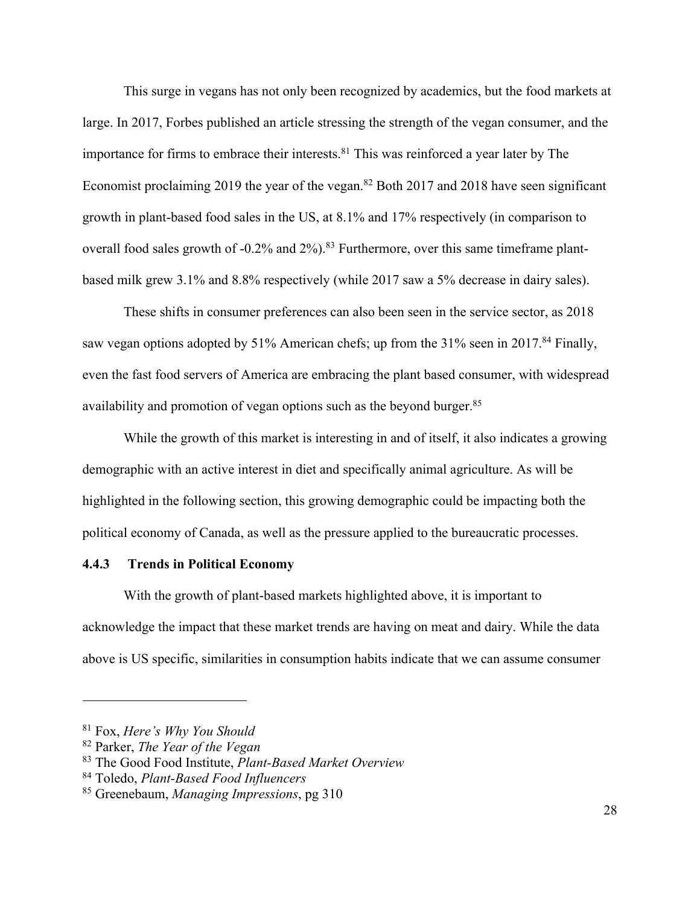This surge in vegans has not only been recognized by academics, but the food markets at large. In 2017, Forbes published an article stressing the strength of the vegan consumer, and the importance for firms to embrace their interests.<sup>81</sup> This was reinforced a year later by The Economist proclaiming 2019 the year of the vegan.<sup>82</sup> Both 2017 and 2018 have seen significant growth in plant-based food sales in the US, at 8.1% and 17% respectively (in comparison to overall food sales growth of -0.2% and 2%).<sup>83</sup> Furthermore, over this same timeframe plantbased milk grew 3.1% and 8.8% respectively (while 2017 saw a 5% decrease in dairy sales).

These shifts in consumer preferences can also been seen in the service sector, as 2018 saw vegan options adopted by 51% American chefs; up from the  $31\%$  seen in 2017.<sup>84</sup> Finally, even the fast food servers of America are embracing the plant based consumer, with widespread availability and promotion of vegan options such as the beyond burger.<sup>85</sup>

While the growth of this market is interesting in and of itself, it also indicates a growing demographic with an active interest in diet and specifically animal agriculture. As will be highlighted in the following section, this growing demographic could be impacting both the political economy of Canada, as well as the pressure applied to the bureaucratic processes.

#### **4.4.3 Trends in Political Economy**

With the growth of plant-based markets highlighted above, it is important to acknowledge the impact that these market trends are having on meat and dairy. While the data above is US specific, similarities in consumption habits indicate that we can assume consumer

<sup>81</sup> Fox, *Here's Why You Should*

<sup>82</sup> Parker, *The Year of the Vegan*

<sup>83</sup> The Good Food Institute, *Plant-Based Market Overview*

<sup>84</sup> Toledo, *Plant-Based Food Influencers*

<sup>85</sup> Greenebaum, *Managing Impressions*, pg 310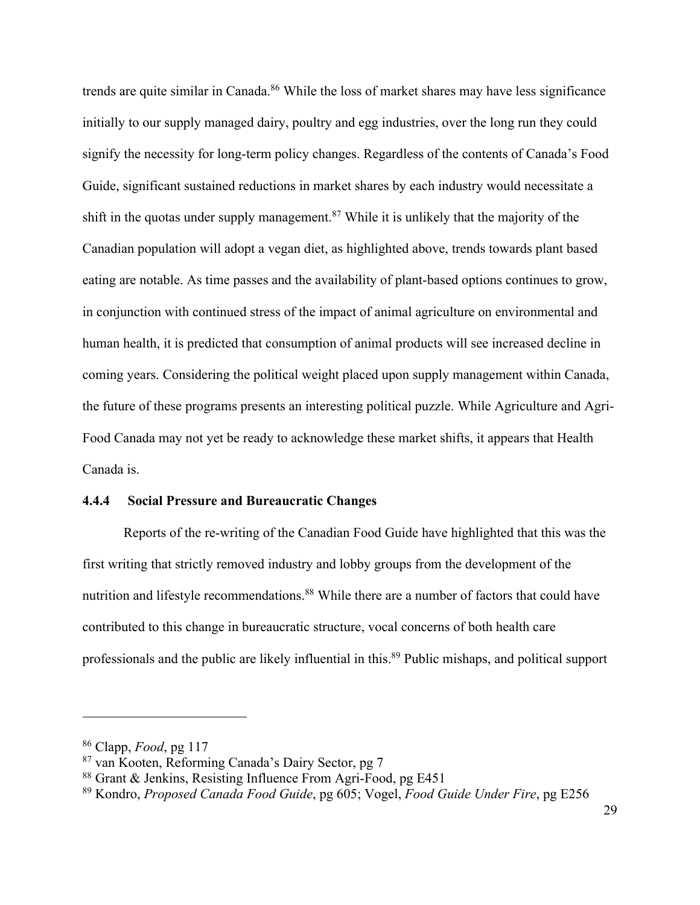trends are quite similar in Canada.<sup>86</sup> While the loss of market shares may have less significance initially to our supply managed dairy, poultry and egg industries, over the long run they could signify the necessity for long-term policy changes. Regardless of the contents of Canada's Food Guide, significant sustained reductions in market shares by each industry would necessitate a shift in the quotas under supply management.<sup>87</sup> While it is unlikely that the majority of the Canadian population will adopt a vegan diet, as highlighted above, trends towards plant based eating are notable. As time passes and the availability of plant-based options continues to grow, in conjunction with continued stress of the impact of animal agriculture on environmental and human health, it is predicted that consumption of animal products will see increased decline in coming years. Considering the political weight placed upon supply management within Canada, the future of these programs presents an interesting political puzzle. While Agriculture and Agri-Food Canada may not yet be ready to acknowledge these market shifts, it appears that Health Canada is.

#### **4.4.4 Social Pressure and Bureaucratic Changes**

Reports of the re-writing of the Canadian Food Guide have highlighted that this was the first writing that strictly removed industry and lobby groups from the development of the nutrition and lifestyle recommendations.<sup>88</sup> While there are a number of factors that could have contributed to this change in bureaucratic structure, vocal concerns of both health care professionals and the public are likely influential in this.89 Public mishaps, and political support

<sup>86</sup> Clapp, *Food*, pg 117

<sup>87</sup> van Kooten, Reforming Canada's Dairy Sector, pg 7

<sup>88</sup> Grant & Jenkins, Resisting Influence From Agri-Food, pg E451

<sup>89</sup> Kondro, *Proposed Canada Food Guide*, pg 605; Vogel, *Food Guide Under Fire*, pg E256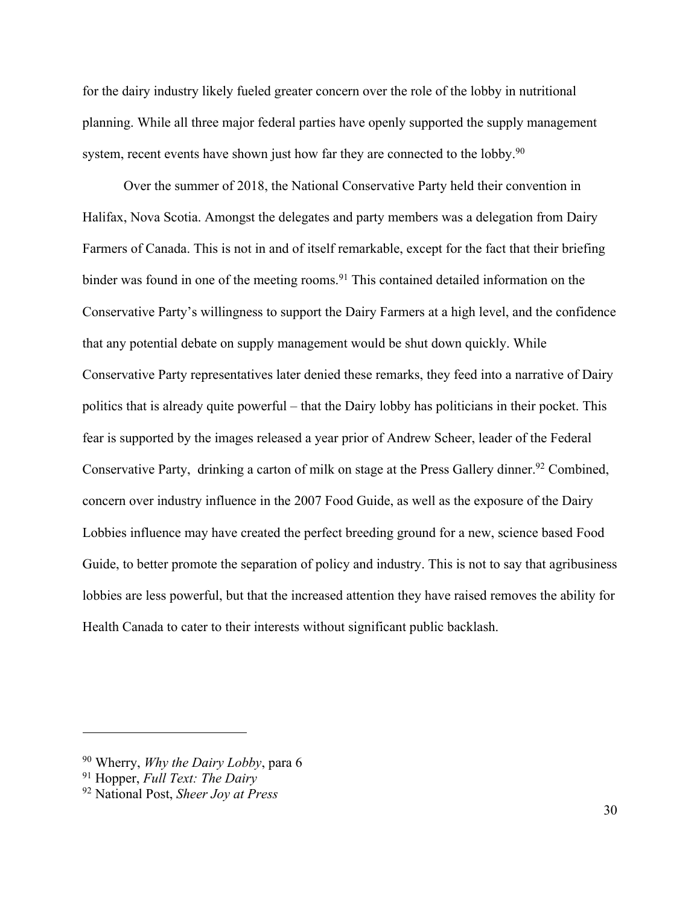for the dairy industry likely fueled greater concern over the role of the lobby in nutritional planning. While all three major federal parties have openly supported the supply management system, recent events have shown just how far they are connected to the lobby.<sup>90</sup>

Over the summer of 2018, the National Conservative Party held their convention in Halifax, Nova Scotia. Amongst the delegates and party members was a delegation from Dairy Farmers of Canada. This is not in and of itself remarkable, except for the fact that their briefing binder was found in one of the meeting rooms. <sup>91</sup> This contained detailed information on the Conservative Party's willingness to support the Dairy Farmers at a high level, and the confidence that any potential debate on supply management would be shut down quickly. While Conservative Party representatives later denied these remarks, they feed into a narrative of Dairy politics that is already quite powerful – that the Dairy lobby has politicians in their pocket. This fear is supported by the images released a year prior of Andrew Scheer, leader of the Federal Conservative Party, drinking a carton of milk on stage at the Press Gallery dinner.<sup>92</sup> Combined, concern over industry influence in the 2007 Food Guide, as well as the exposure of the Dairy Lobbies influence may have created the perfect breeding ground for a new, science based Food Guide, to better promote the separation of policy and industry. This is not to say that agribusiness lobbies are less powerful, but that the increased attention they have raised removes the ability for Health Canada to cater to their interests without significant public backlash.

<sup>90</sup> Wherry, *Why the Dairy Lobby*, para 6

<sup>91</sup> Hopper, *Full Text: The Dairy*

<sup>92</sup> National Post, *Sheer Joy at Press*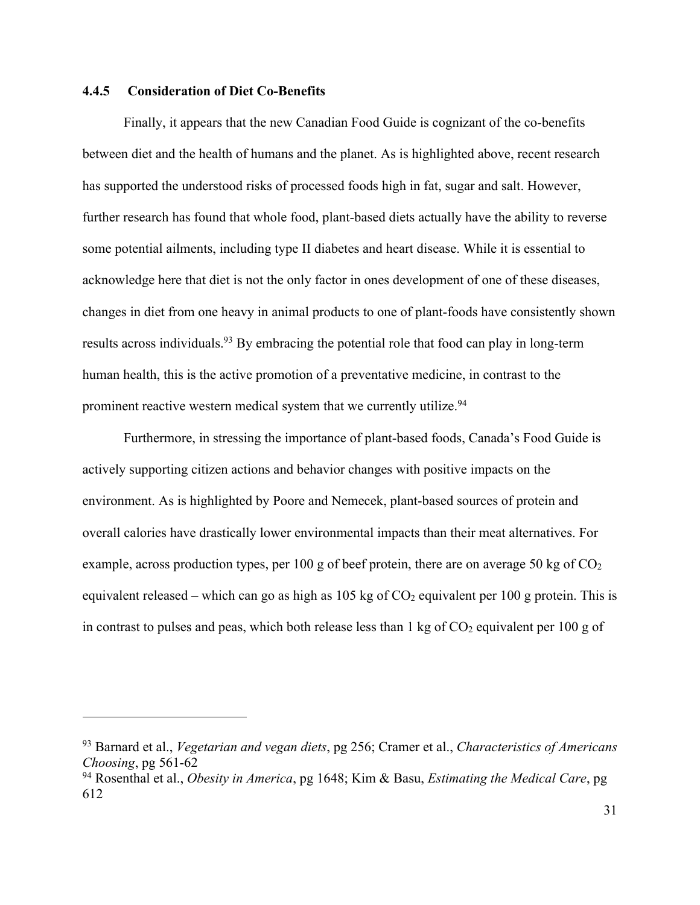#### **4.4.5 Consideration of Diet Co-Benefits**

 $\overline{a}$ 

Finally, it appears that the new Canadian Food Guide is cognizant of the co-benefits between diet and the health of humans and the planet. As is highlighted above, recent research has supported the understood risks of processed foods high in fat, sugar and salt. However, further research has found that whole food, plant-based diets actually have the ability to reverse some potential ailments, including type II diabetes and heart disease. While it is essential to acknowledge here that diet is not the only factor in ones development of one of these diseases, changes in diet from one heavy in animal products to one of plant-foods have consistently shown results across individuals.<sup>93</sup> By embracing the potential role that food can play in long-term human health, this is the active promotion of a preventative medicine, in contrast to the prominent reactive western medical system that we currently utilize.<sup>94</sup>

Furthermore, in stressing the importance of plant-based foods, Canada's Food Guide is actively supporting citizen actions and behavior changes with positive impacts on the environment. As is highlighted by Poore and Nemecek, plant-based sources of protein and overall calories have drastically lower environmental impacts than their meat alternatives. For example, across production types, per 100 g of beef protein, there are on average 50 kg of  $CO<sub>2</sub>$ equivalent released – which can go as high as  $105 \text{ kg of } CO_2$  equivalent per  $100 \text{ g}$  protein. This is in contrast to pulses and peas, which both release less than  $1 \text{ kg of CO}_2$  equivalent per 100 g of

<sup>93</sup> Barnard et al., *Vegetarian and vegan diets*, pg 256; Cramer et al., *Characteristics of Americans Choosing*, pg 561-62

<sup>94</sup> Rosenthal et al., *Obesity in America*, pg 1648; Kim & Basu, *Estimating the Medical Care*, pg 612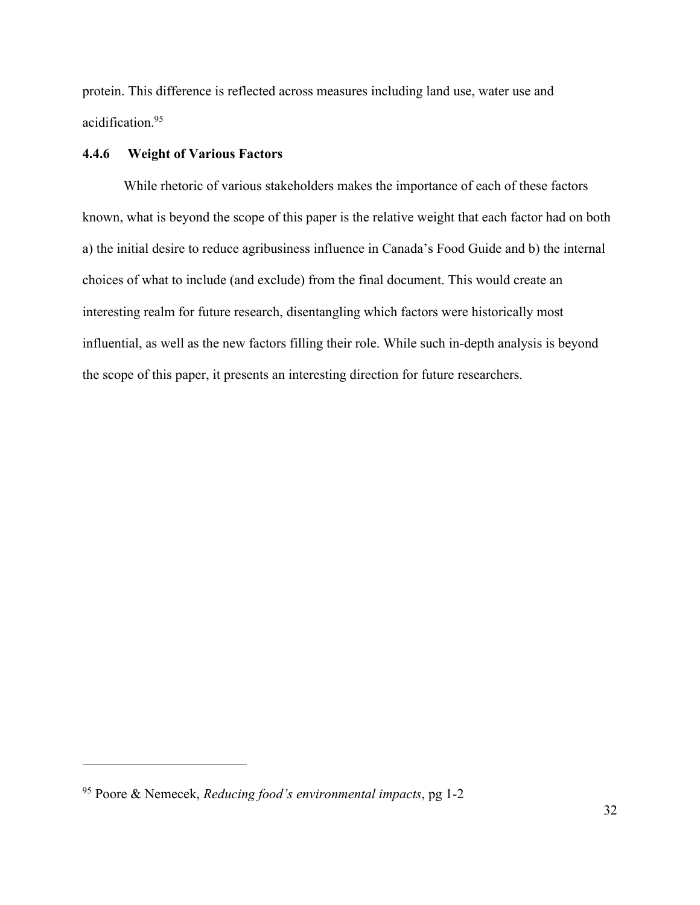protein. This difference is reflected across measures including land use, water use and acidification.95

### **4.4.6 Weight of Various Factors**

While rhetoric of various stakeholders makes the importance of each of these factors known, what is beyond the scope of this paper is the relative weight that each factor had on both a) the initial desire to reduce agribusiness influence in Canada's Food Guide and b) the internal choices of what to include (and exclude) from the final document. This would create an interesting realm for future research, disentangling which factors were historically most influential, as well as the new factors filling their role. While such in-depth analysis is beyond the scope of this paper, it presents an interesting direction for future researchers.

<sup>95</sup> Poore & Nemecek, *Reducing food's environmental impacts*, pg 1-2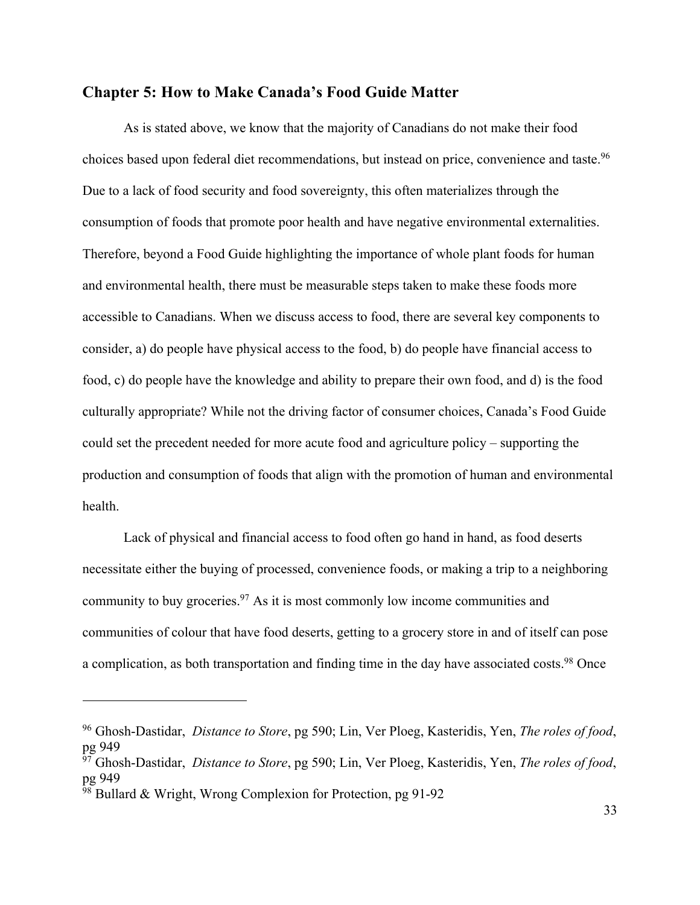## **Chapter 5: How to Make Canada's Food Guide Matter**

As is stated above, we know that the majority of Canadians do not make their food choices based upon federal diet recommendations, but instead on price, convenience and taste.<sup>96</sup> Due to a lack of food security and food sovereignty, this often materializes through the consumption of foods that promote poor health and have negative environmental externalities. Therefore, beyond a Food Guide highlighting the importance of whole plant foods for human and environmental health, there must be measurable steps taken to make these foods more accessible to Canadians. When we discuss access to food, there are several key components to consider, a) do people have physical access to the food, b) do people have financial access to food, c) do people have the knowledge and ability to prepare their own food, and d) is the food culturally appropriate? While not the driving factor of consumer choices, Canada's Food Guide could set the precedent needed for more acute food and agriculture policy – supporting the production and consumption of foods that align with the promotion of human and environmental health.

Lack of physical and financial access to food often go hand in hand, as food deserts necessitate either the buying of processed, convenience foods, or making a trip to a neighboring community to buy groceries.<sup>97</sup> As it is most commonly low income communities and communities of colour that have food deserts, getting to a grocery store in and of itself can pose a complication, as both transportation and finding time in the day have associated costs.<sup>98</sup> Once

<sup>96</sup> Ghosh-Dastidar, *Distance to Store*, pg 590; Lin, Ver Ploeg, Kasteridis, Yen, *The roles of food*, pg 949

<sup>97</sup> Ghosh-Dastidar, *Distance to Store*, pg 590; Lin, Ver Ploeg, Kasteridis, Yen, *The roles of food*, pg 949

 $98$  Bullard & Wright, Wrong Complexion for Protection, pg 91-92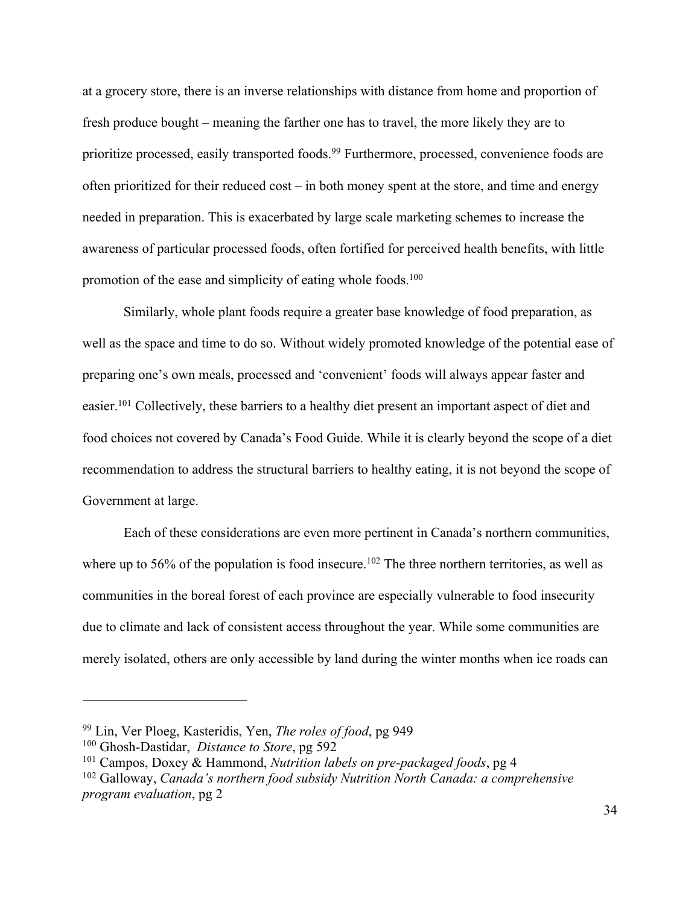at a grocery store, there is an inverse relationships with distance from home and proportion of fresh produce bought – meaning the farther one has to travel, the more likely they are to prioritize processed, easily transported foods.<sup>99</sup> Furthermore, processed, convenience foods are often prioritized for their reduced cost – in both money spent at the store, and time and energy needed in preparation. This is exacerbated by large scale marketing schemes to increase the awareness of particular processed foods, often fortified for perceived health benefits, with little promotion of the ease and simplicity of eating whole foods.<sup>100</sup>

Similarly, whole plant foods require a greater base knowledge of food preparation, as well as the space and time to do so. Without widely promoted knowledge of the potential ease of preparing one's own meals, processed and 'convenient' foods will always appear faster and easier.101 Collectively, these barriers to a healthy diet present an important aspect of diet and food choices not covered by Canada's Food Guide. While it is clearly beyond the scope of a diet recommendation to address the structural barriers to healthy eating, it is not beyond the scope of Government at large.

Each of these considerations are even more pertinent in Canada's northern communities, where up to 56% of the population is food insecure.<sup>102</sup> The three northern territories, as well as communities in the boreal forest of each province are especially vulnerable to food insecurity due to climate and lack of consistent access throughout the year. While some communities are merely isolated, others are only accessible by land during the winter months when ice roads can

<sup>99</sup> Lin, Ver Ploeg, Kasteridis, Yen, *The roles of food*, pg 949

<sup>100</sup> Ghosh-Dastidar, *Distance to Store*, pg 592

<sup>101</sup> Campos, Doxey & Hammond, *Nutrition labels on pre-packaged foods*, pg 4

<sup>102</sup> Galloway, *Canada's northern food subsidy Nutrition North Canada: a comprehensive program evaluation*, pg 2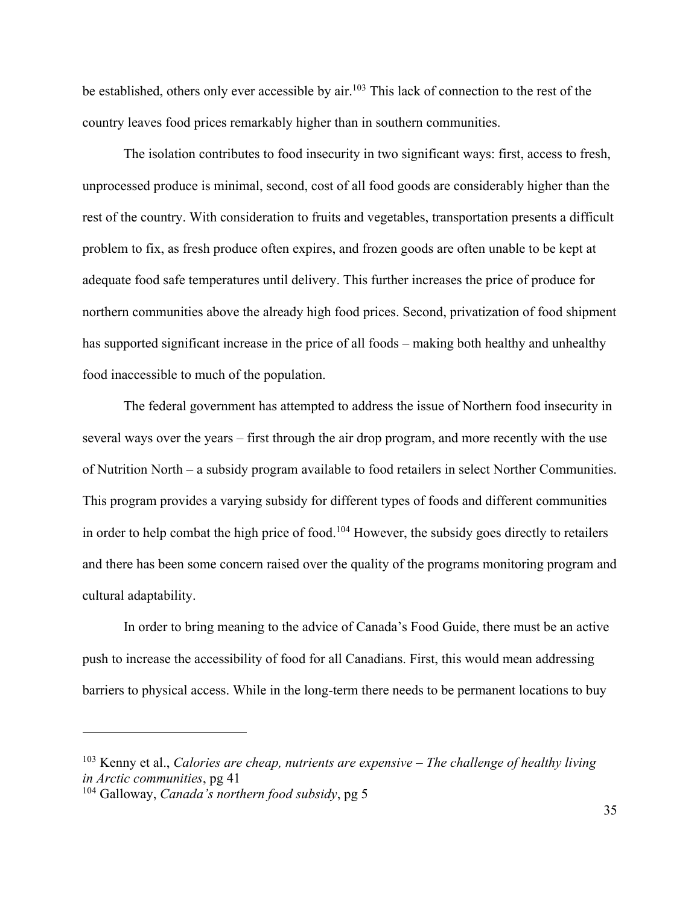be established, others only ever accessible by air.<sup>103</sup> This lack of connection to the rest of the country leaves food prices remarkably higher than in southern communities.

The isolation contributes to food insecurity in two significant ways: first, access to fresh, unprocessed produce is minimal, second, cost of all food goods are considerably higher than the rest of the country. With consideration to fruits and vegetables, transportation presents a difficult problem to fix, as fresh produce often expires, and frozen goods are often unable to be kept at adequate food safe temperatures until delivery. This further increases the price of produce for northern communities above the already high food prices. Second, privatization of food shipment has supported significant increase in the price of all foods – making both healthy and unhealthy food inaccessible to much of the population.

The federal government has attempted to address the issue of Northern food insecurity in several ways over the years – first through the air drop program, and more recently with the use of Nutrition North – a subsidy program available to food retailers in select Norther Communities. This program provides a varying subsidy for different types of foods and different communities in order to help combat the high price of food.<sup>104</sup> However, the subsidy goes directly to retailers and there has been some concern raised over the quality of the programs monitoring program and cultural adaptability.

In order to bring meaning to the advice of Canada's Food Guide, there must be an active push to increase the accessibility of food for all Canadians. First, this would mean addressing barriers to physical access. While in the long-term there needs to be permanent locations to buy

<sup>103</sup> Kenny et al., *Calories are cheap, nutrients are expensive – The challenge of healthy living in Arctic communities*, pg 41

<sup>104</sup> Galloway, *Canada's northern food subsidy*, pg 5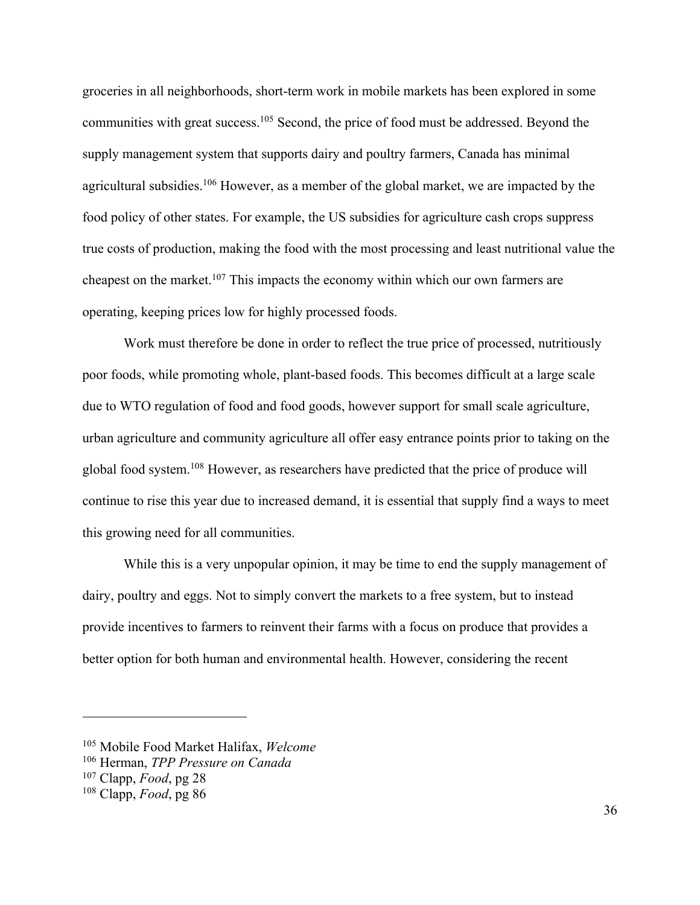groceries in all neighborhoods, short-term work in mobile markets has been explored in some communities with great success.105 Second, the price of food must be addressed. Beyond the supply management system that supports dairy and poultry farmers, Canada has minimal agricultural subsidies.106 However, as a member of the global market, we are impacted by the food policy of other states. For example, the US subsidies for agriculture cash crops suppress true costs of production, making the food with the most processing and least nutritional value the cheapest on the market.107 This impacts the economy within which our own farmers are operating, keeping prices low for highly processed foods.

Work must therefore be done in order to reflect the true price of processed, nutritiously poor foods, while promoting whole, plant-based foods. This becomes difficult at a large scale due to WTO regulation of food and food goods, however support for small scale agriculture, urban agriculture and community agriculture all offer easy entrance points prior to taking on the global food system.108 However, as researchers have predicted that the price of produce will continue to rise this year due to increased demand, it is essential that supply find a ways to meet this growing need for all communities.

While this is a very unpopular opinion, it may be time to end the supply management of dairy, poultry and eggs. Not to simply convert the markets to a free system, but to instead provide incentives to farmers to reinvent their farms with a focus on produce that provides a better option for both human and environmental health. However, considering the recent

<sup>105</sup> Mobile Food Market Halifax, *Welcome*

<sup>106</sup> Herman, *TPP Pressure on Canada*

<sup>107</sup> Clapp, *Food*, pg 28

<sup>108</sup> Clapp, *Food*, pg 86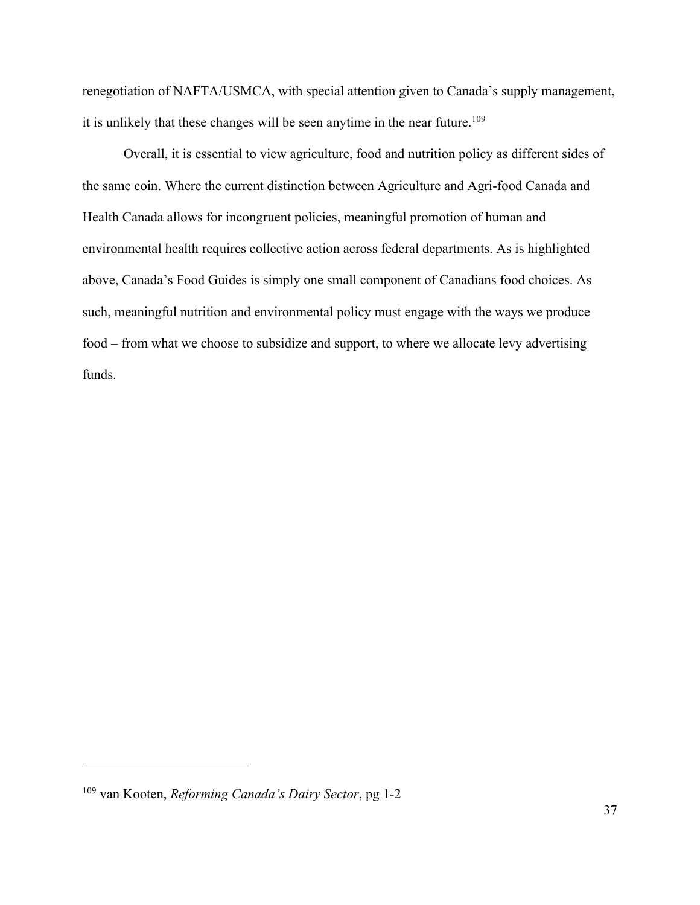renegotiation of NAFTA/USMCA, with special attention given to Canada's supply management, it is unlikely that these changes will be seen anytime in the near future.<sup>109</sup>

Overall, it is essential to view agriculture, food and nutrition policy as different sides of the same coin. Where the current distinction between Agriculture and Agri-food Canada and Health Canada allows for incongruent policies, meaningful promotion of human and environmental health requires collective action across federal departments. As is highlighted above, Canada's Food Guides is simply one small component of Canadians food choices. As such, meaningful nutrition and environmental policy must engage with the ways we produce food – from what we choose to subsidize and support, to where we allocate levy advertising funds.

<sup>109</sup> van Kooten, *Reforming Canada's Dairy Sector*, pg 1-2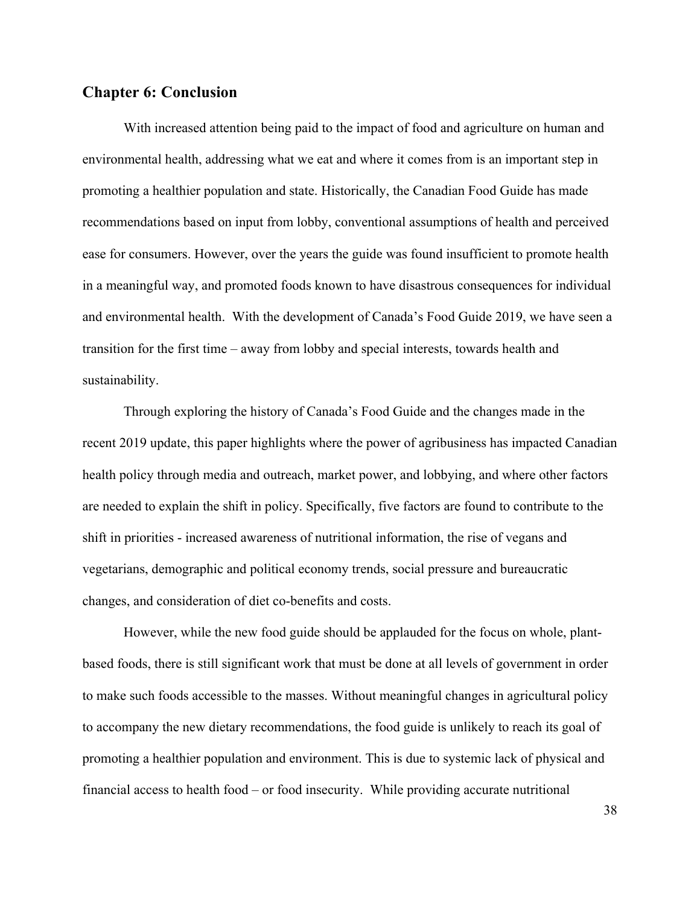# **Chapter 6: Conclusion**

With increased attention being paid to the impact of food and agriculture on human and environmental health, addressing what we eat and where it comes from is an important step in promoting a healthier population and state. Historically, the Canadian Food Guide has made recommendations based on input from lobby, conventional assumptions of health and perceived ease for consumers. However, over the years the guide was found insufficient to promote health in a meaningful way, and promoted foods known to have disastrous consequences for individual and environmental health. With the development of Canada's Food Guide 2019, we have seen a transition for the first time – away from lobby and special interests, towards health and sustainability.

Through exploring the history of Canada's Food Guide and the changes made in the recent 2019 update, this paper highlights where the power of agribusiness has impacted Canadian health policy through media and outreach, market power, and lobbying, and where other factors are needed to explain the shift in policy. Specifically, five factors are found to contribute to the shift in priorities - increased awareness of nutritional information, the rise of vegans and vegetarians, demographic and political economy trends, social pressure and bureaucratic changes, and consideration of diet co-benefits and costs.

However, while the new food guide should be applauded for the focus on whole, plantbased foods, there is still significant work that must be done at all levels of government in order to make such foods accessible to the masses. Without meaningful changes in agricultural policy to accompany the new dietary recommendations, the food guide is unlikely to reach its goal of promoting a healthier population and environment. This is due to systemic lack of physical and financial access to health food – or food insecurity. While providing accurate nutritional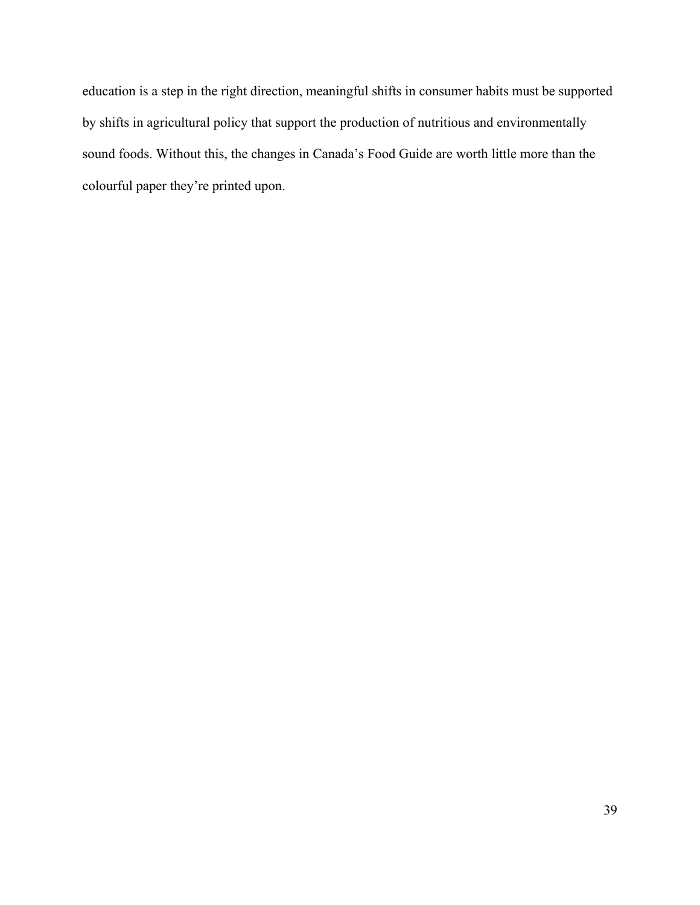education is a step in the right direction, meaningful shifts in consumer habits must be supported by shifts in agricultural policy that support the production of nutritious and environmentally sound foods. Without this, the changes in Canada's Food Guide are worth little more than the colourful paper they're printed upon.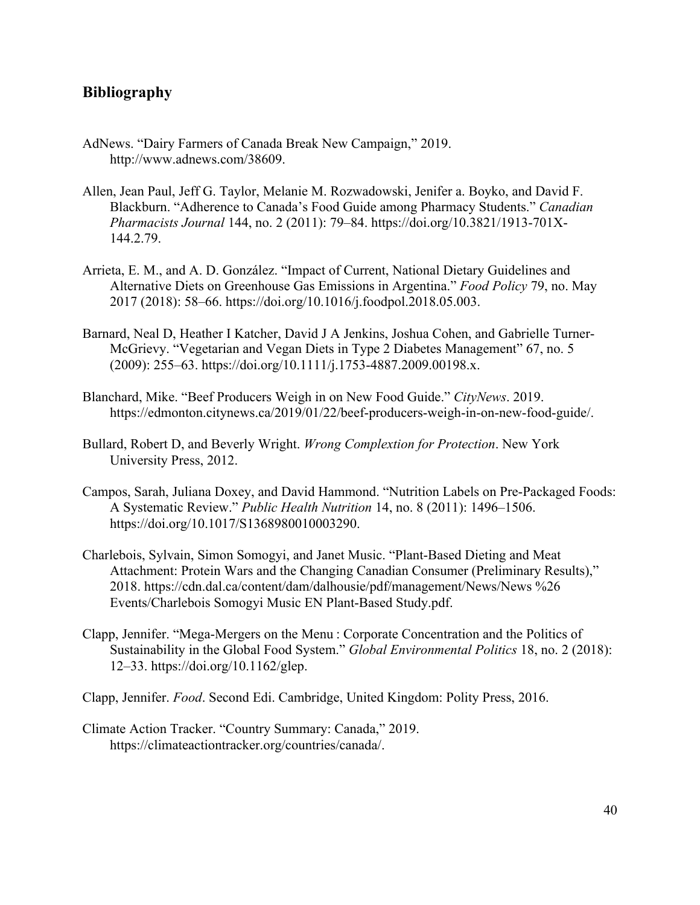# **Bibliography**

- AdNews. "Dairy Farmers of Canada Break New Campaign," 2019. http://www.adnews.com/38609.
- Allen, Jean Paul, Jeff G. Taylor, Melanie M. Rozwadowski, Jenifer a. Boyko, and David F. Blackburn. "Adherence to Canada's Food Guide among Pharmacy Students." *Canadian Pharmacists Journal* 144, no. 2 (2011): 79–84. https://doi.org/10.3821/1913-701X-144.2.79.
- Arrieta, E. M., and A. D. González. "Impact of Current, National Dietary Guidelines and Alternative Diets on Greenhouse Gas Emissions in Argentina." *Food Policy* 79, no. May 2017 (2018): 58–66. https://doi.org/10.1016/j.foodpol.2018.05.003.
- Barnard, Neal D, Heather I Katcher, David J A Jenkins, Joshua Cohen, and Gabrielle Turner-McGrievy. "Vegetarian and Vegan Diets in Type 2 Diabetes Management" 67, no. 5 (2009): 255–63. https://doi.org/10.1111/j.1753-4887.2009.00198.x.
- Blanchard, Mike. "Beef Producers Weigh in on New Food Guide." *CityNews*. 2019. https://edmonton.citynews.ca/2019/01/22/beef-producers-weigh-in-on-new-food-guide/.
- Bullard, Robert D, and Beverly Wright. *Wrong Complextion for Protection*. New York University Press, 2012.
- Campos, Sarah, Juliana Doxey, and David Hammond. "Nutrition Labels on Pre-Packaged Foods: A Systematic Review." *Public Health Nutrition* 14, no. 8 (2011): 1496–1506. https://doi.org/10.1017/S1368980010003290.
- Charlebois, Sylvain, Simon Somogyi, and Janet Music. "Plant-Based Dieting and Meat Attachment: Protein Wars and the Changing Canadian Consumer (Preliminary Results)," 2018. https://cdn.dal.ca/content/dam/dalhousie/pdf/management/News/News %26 Events/Charlebois Somogyi Music EN Plant-Based Study.pdf.
- Clapp, Jennifer. "Mega-Mergers on the Menu : Corporate Concentration and the Politics of Sustainability in the Global Food System." *Global Environmental Politics* 18, no. 2 (2018): 12–33. https://doi.org/10.1162/glep.
- Clapp, Jennifer. *Food*. Second Edi. Cambridge, United Kingdom: Polity Press, 2016.
- Climate Action Tracker. "Country Summary: Canada," 2019. https://climateactiontracker.org/countries/canada/.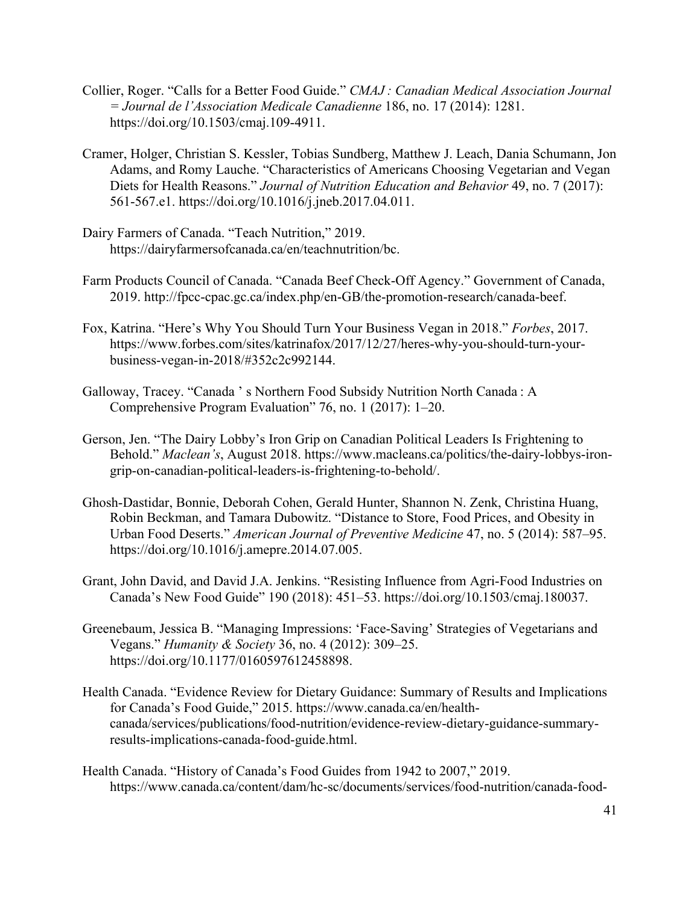- Collier, Roger. "Calls for a Better Food Guide." *CMAJ : Canadian Medical Association Journal = Journal de l'Association Medicale Canadienne* 186, no. 17 (2014): 1281. https://doi.org/10.1503/cmaj.109-4911.
- Cramer, Holger, Christian S. Kessler, Tobias Sundberg, Matthew J. Leach, Dania Schumann, Jon Adams, and Romy Lauche. "Characteristics of Americans Choosing Vegetarian and Vegan Diets for Health Reasons." *Journal of Nutrition Education and Behavior* 49, no. 7 (2017): 561-567.e1. https://doi.org/10.1016/j.jneb.2017.04.011.
- Dairy Farmers of Canada. "Teach Nutrition," 2019. https://dairyfarmersofcanada.ca/en/teachnutrition/bc.
- Farm Products Council of Canada. "Canada Beef Check-Off Agency." Government of Canada, 2019. http://fpcc-cpac.gc.ca/index.php/en-GB/the-promotion-research/canada-beef.
- Fox, Katrina. "Here's Why You Should Turn Your Business Vegan in 2018." *Forbes*, 2017. https://www.forbes.com/sites/katrinafox/2017/12/27/heres-why-you-should-turn-yourbusiness-vegan-in-2018/#352c2c992144.
- Galloway, Tracey. "Canada ' s Northern Food Subsidy Nutrition North Canada : A Comprehensive Program Evaluation" 76, no. 1 (2017): 1–20.
- Gerson, Jen. "The Dairy Lobby's Iron Grip on Canadian Political Leaders Is Frightening to Behold." *Maclean's*, August 2018. https://www.macleans.ca/politics/the-dairy-lobbys-irongrip-on-canadian-political-leaders-is-frightening-to-behold/.
- Ghosh-Dastidar, Bonnie, Deborah Cohen, Gerald Hunter, Shannon N. Zenk, Christina Huang, Robin Beckman, and Tamara Dubowitz. "Distance to Store, Food Prices, and Obesity in Urban Food Deserts." *American Journal of Preventive Medicine* 47, no. 5 (2014): 587–95. https://doi.org/10.1016/j.amepre.2014.07.005.
- Grant, John David, and David J.A. Jenkins. "Resisting Influence from Agri-Food Industries on Canada's New Food Guide" 190 (2018): 451–53. https://doi.org/10.1503/cmaj.180037.
- Greenebaum, Jessica B. "Managing Impressions: 'Face-Saving' Strategies of Vegetarians and Vegans." *Humanity & Society* 36, no. 4 (2012): 309–25. https://doi.org/10.1177/0160597612458898.
- Health Canada. "Evidence Review for Dietary Guidance: Summary of Results and Implications for Canada's Food Guide," 2015. https://www.canada.ca/en/healthcanada/services/publications/food-nutrition/evidence-review-dietary-guidance-summaryresults-implications-canada-food-guide.html.
- Health Canada. "History of Canada's Food Guides from 1942 to 2007," 2019. https://www.canada.ca/content/dam/hc-sc/documents/services/food-nutrition/canada-food-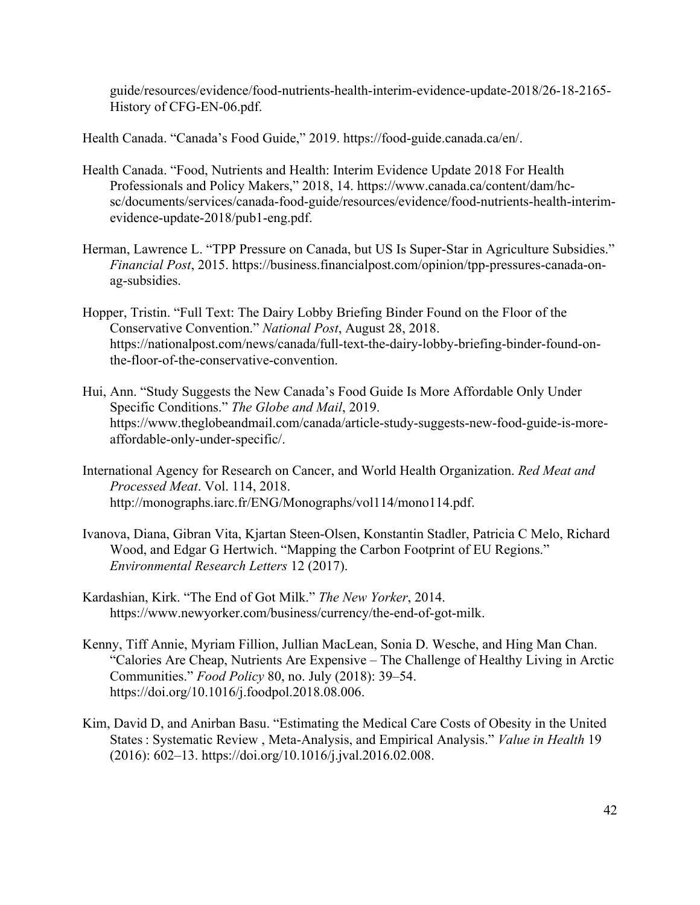guide/resources/evidence/food-nutrients-health-interim-evidence-update-2018/26-18-2165- History of CFG-EN-06.pdf.

Health Canada. "Canada's Food Guide," 2019. https://food-guide.canada.ca/en/.

- Health Canada. "Food, Nutrients and Health: Interim Evidence Update 2018 For Health Professionals and Policy Makers," 2018, 14. https://www.canada.ca/content/dam/hcsc/documents/services/canada-food-guide/resources/evidence/food-nutrients-health-interimevidence-update-2018/pub1-eng.pdf.
- Herman, Lawrence L. "TPP Pressure on Canada, but US Is Super-Star in Agriculture Subsidies." *Financial Post*, 2015. https://business.financialpost.com/opinion/tpp-pressures-canada-onag-subsidies.
- Hopper, Tristin. "Full Text: The Dairy Lobby Briefing Binder Found on the Floor of the Conservative Convention." *National Post*, August 28, 2018. https://nationalpost.com/news/canada/full-text-the-dairy-lobby-briefing-binder-found-onthe-floor-of-the-conservative-convention.
- Hui, Ann. "Study Suggests the New Canada's Food Guide Is More Affordable Only Under Specific Conditions." *The Globe and Mail*, 2019. https://www.theglobeandmail.com/canada/article-study-suggests-new-food-guide-is-moreaffordable-only-under-specific/.
- International Agency for Research on Cancer, and World Health Organization. *Red Meat and Processed Meat*. Vol. 114, 2018. http://monographs.iarc.fr/ENG/Monographs/vol114/mono114.pdf.
- Ivanova, Diana, Gibran Vita, Kjartan Steen-Olsen, Konstantin Stadler, Patricia C Melo, Richard Wood, and Edgar G Hertwich. "Mapping the Carbon Footprint of EU Regions." *Environmental Research Letters* 12 (2017).
- Kardashian, Kirk. "The End of Got Milk." *The New Yorker*, 2014. https://www.newyorker.com/business/currency/the-end-of-got-milk.
- Kenny, Tiff Annie, Myriam Fillion, Jullian MacLean, Sonia D. Wesche, and Hing Man Chan. "Calories Are Cheap, Nutrients Are Expensive – The Challenge of Healthy Living in Arctic Communities." *Food Policy* 80, no. July (2018): 39–54. https://doi.org/10.1016/j.foodpol.2018.08.006.
- Kim, David D, and Anirban Basu. "Estimating the Medical Care Costs of Obesity in the United States : Systematic Review , Meta-Analysis, and Empirical Analysis." *Value in Health* 19 (2016): 602–13. https://doi.org/10.1016/j.jval.2016.02.008.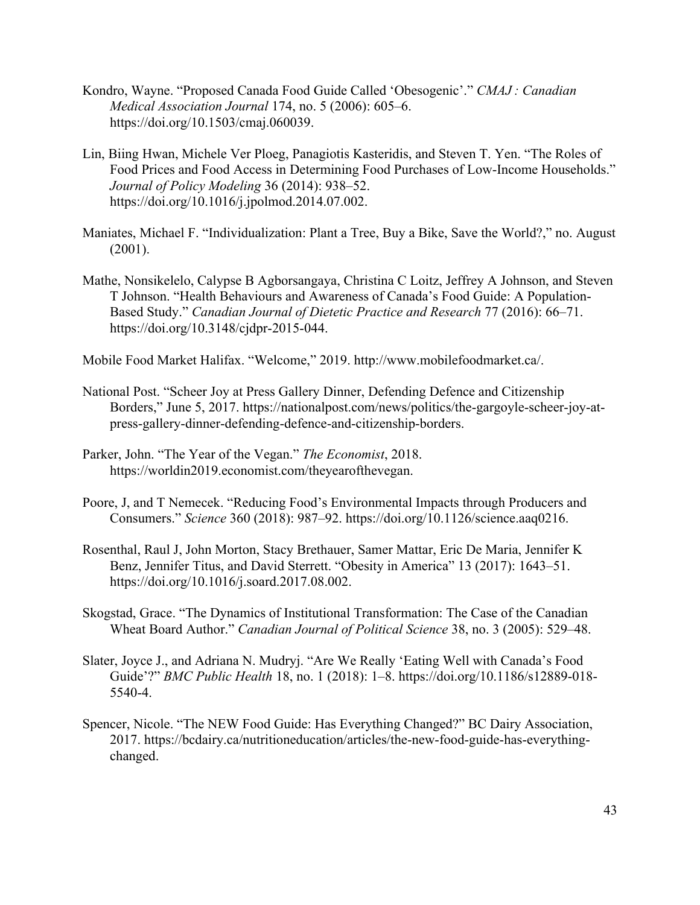- Kondro, Wayne. "Proposed Canada Food Guide Called 'Obesogenic'." *CMAJ : Canadian Medical Association Journal* 174, no. 5 (2006): 605–6. https://doi.org/10.1503/cmaj.060039.
- Lin, Biing Hwan, Michele Ver Ploeg, Panagiotis Kasteridis, and Steven T. Yen. "The Roles of Food Prices and Food Access in Determining Food Purchases of Low-Income Households." *Journal of Policy Modeling* 36 (2014): 938–52. https://doi.org/10.1016/j.jpolmod.2014.07.002.
- Maniates, Michael F. "Individualization: Plant a Tree, Buy a Bike, Save the World?," no. August (2001).
- Mathe, Nonsikelelo, Calypse B Agborsangaya, Christina C Loitz, Jeffrey A Johnson, and Steven T Johnson. "Health Behaviours and Awareness of Canada's Food Guide: A Population-Based Study." *Canadian Journal of Dietetic Practice and Research* 77 (2016): 66–71. https://doi.org/10.3148/cjdpr-2015-044.

Mobile Food Market Halifax. "Welcome," 2019. http://www.mobilefoodmarket.ca/.

- National Post. "Scheer Joy at Press Gallery Dinner, Defending Defence and Citizenship Borders," June 5, 2017. https://nationalpost.com/news/politics/the-gargoyle-scheer-joy-atpress-gallery-dinner-defending-defence-and-citizenship-borders.
- Parker, John. "The Year of the Vegan." *The Economist*, 2018. https://worldin2019.economist.com/theyearofthevegan.
- Poore, J, and T Nemecek. "Reducing Food's Environmental Impacts through Producers and Consumers." *Science* 360 (2018): 987–92. https://doi.org/10.1126/science.aaq0216.
- Rosenthal, Raul J, John Morton, Stacy Brethauer, Samer Mattar, Eric De Maria, Jennifer K Benz, Jennifer Titus, and David Sterrett. "Obesity in America" 13 (2017): 1643–51. https://doi.org/10.1016/j.soard.2017.08.002.
- Skogstad, Grace. "The Dynamics of Institutional Transformation: The Case of the Canadian Wheat Board Author." *Canadian Journal of Political Science* 38, no. 3 (2005): 529–48.
- Slater, Joyce J., and Adriana N. Mudryj. "Are We Really 'Eating Well with Canada's Food Guide'?" *BMC Public Health* 18, no. 1 (2018): 1–8. https://doi.org/10.1186/s12889-018- 5540-4.
- Spencer, Nicole. "The NEW Food Guide: Has Everything Changed?" BC Dairy Association, 2017. https://bcdairy.ca/nutritioneducation/articles/the-new-food-guide-has-everythingchanged.